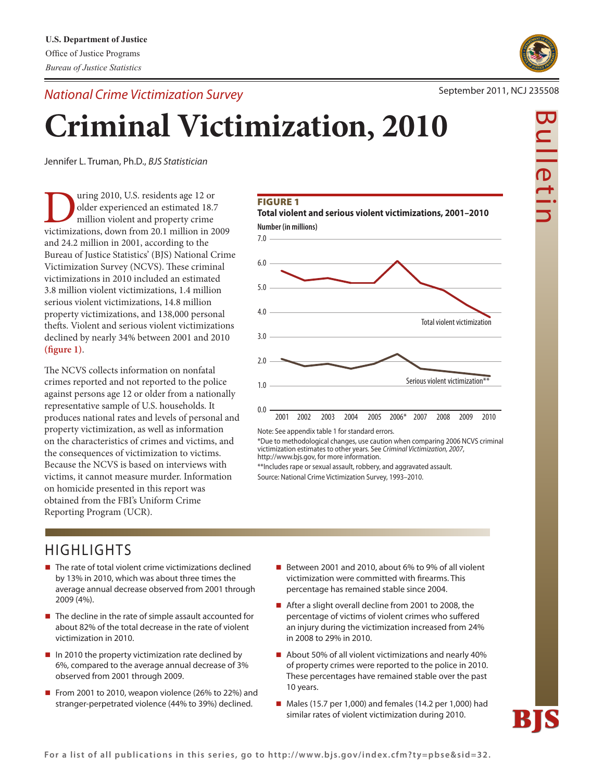*National Crime Victimization Survey*



# **Criminal Victimization, 2010**

Jennifer L. Truman, Ph.D., *BJS Statistician* 

Ultimated 2010, U.S. residents age 12 or older experienced an estimated 18.7 million violent and property crime victimizations, down from 20.1 million in 2009 older experienced an estimated 18.7 million violent and property crime and 24.2 million in 2001, according to the Bureau of Justice Statistics' (BJS) National Crime Victimization Survey (NCVS). These criminal victimizations in 2010 included an estimated 3.8 million violent victimizations, 1.4 million serious violent victimizations, 14.8 million property victimizations, and 138,000 personal thefts. Violent and serious violent victimizations declined by nearly 34% between 2001 and 2010 **(fi gure 1)**.

The NCVS collects information on nonfatal crimes reported and not reported to the police against persons age 12 or older from a nationally representative sample of U.S. households. It produces national rates and levels of personal and property victimization, as well as information on the characteristics of crimes and victims, and the consequences of victimization to victims. Because the NCVS is based on interviews with victims, it cannot measure murder. Information on homicide presented in this report was obtained from the FBI's Uniform Crime Reporting Program (UCR).

# **FIGURE 1**



**Total violent and serious violent victimizations, 2001–2010**

Note: See appendix table 1 for standard errors.

\*Due to methodological changes, use caution when comparing 2006 nCvS criminal victimization estimates to other years. See *Criminal Victimization, 2007*, http://www.bjs.gov, for more information.

\*\*includes rape or sexual assault, robbery, and aggravated assault. Source: National Crime Victimization Survey, 1993-2010.

# **HIGHLIGHTS**

- $\blacksquare$  The rate of total violent crime victimizations declined by 13% in 2010, which was about three times the average annual decrease observed from 2001 through 2009 (4%).
- $\blacksquare$  The decline in the rate of simple assault accounted for about 82% of the total decrease in the rate of violent victimization in 2010.
- $\blacksquare$  In 2010 the property victimization rate declined by 6%, compared to the average annual decrease of 3% observed from 2001 through 2009.
- From 2001 to 2010, weapon violence (26% to 22%) and stranger-perpetrated violence (44% to 39%) declined.
- Between 2001 and 2010, about 6% to 9% of all violent victimization were committed with firearms. This percentage has remained stable since 2004.
- After a slight overall decline from 2001 to 2008, the percentage of victims of violent crimes who suffered an injury during the victimization increased from 24% in 2008 to 29% in 2010.
- $\blacksquare$  About 50% of all violent victimizations and nearly 40% of property crimes were reported to the police in 2010. These percentages have remained stable over the past 10 years.
- $\blacksquare$  Males (15.7 per 1,000) and females (14.2 per 1,000) had similar rates of violent victimization during 2010.

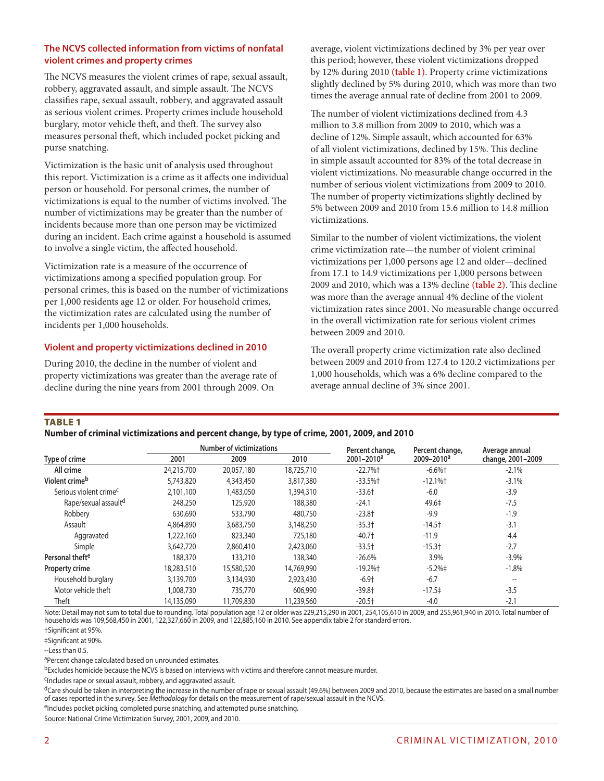# **The NCVS collected information from victims of nonfatal violent crimes and property crimes**

The NCVS measures the violent crimes of rape, sexual assault, robbery, aggravated assault, and simple assault. The NCVS classifies rape, sexual assault, robbery, and aggravated assault as serious violent crimes. Property crimes include household burglary, motor vehicle theft, and theft. The survey also measures personal theft, which included pocket picking and purse snatching.

Victimization is the basic unit of analysis used throughout this report. Victimization is a crime as it affects one individual person or household. For personal crimes, the number of victimizations is equal to the number of victims involved. The number of victimizations may be greater than the number of incidents because more than one person may be victimized during an incident. Each crime against a household is assumed to involve a single victim, the affected household.

Victimization rate is a measure of the occurrence of victimizations among a specified population group. For personal crimes, this is based on the number of victimizations per 1,000 residents age 12 or older. For household crimes, the victimization rates are calculated using the number of incidents per 1,000 households.

# **Violent and property victimizations declined in 2010**

During 2010, the decline in the number of violent and property victimizations was greater than the average rate of decline during the nine years from 2001 through 2009. On

average, violent victimizations declined by 3% per year over this period; however, these violent victimizations dropped by 12% during 2010 **(table 1)**. Property crime victimizations slightly declined by 5% during 2010, which was more than two times the average annual rate of decline from 2001 to 2009.

The number of violent victimizations declined from 4.3 million to 3.8 million from 2009 to 2010, which was a decline of 12%. Simple assault, which accounted for 63% of all violent victimizations, declined by 15%. This decline in simple assault accounted for 83% of the total decrease in violent victimizations. No measurable change occurred in the number of serious violent victimizations from 2009 to 2010. The number of property victimizations slightly declined by 5% between 2009 and 2010 from 15.6 million to 14.8 million victimizations.

Similar to the number of violent victimizations, the violent crime victimization rate—the number of violent criminal victimizations per 1,000 persons age 12 and older—declined from 17.1 to 14.9 victimizations per 1,000 persons between 2009 and 2010, which was a 13% decline **(table 2)**. This decline was more than the average annual 4% decline of the violent victimization rates since 2001. No measurable change occurred in the overall victimization rate for serious violent crimes between 2009 and 2010.

The overall property crime victimization rate also declined between 2009 and 2010 from 127.4 to 120.2 victimizations per 1,000 households, which was a 6% decline compared to the average annual decline of 3% since 2001.

#### **TABLE 1**

**Number of criminal victimizations and percent change, by type of crime, 2001, 2009, and 2010**

|                                    |            | <b>Number of victimizations</b> |            |                                    | Percent change,        | Average annual           |
|------------------------------------|------------|---------------------------------|------------|------------------------------------|------------------------|--------------------------|
| Type of crime                      | 2001       | 2009                            | 2010       | Percent change,<br>$2001 - 2010^a$ | 2009-2010 <sup>a</sup> | change, 2001-2009        |
| All crime                          | 24,215,700 | 20,057,180                      | 18,725,710 | $-22.7%$                           | $-6.6%$ †              | $-2.1%$                  |
| Violent crime <sup>b</sup>         | 5,743,820  | 4,343,450                       | 3,817,380  | $-33.5%$ †                         | $-12.1%$               | $-3.1%$                  |
| Serious violent crime <sup>c</sup> | 2,101,100  | 1,483,050                       | 1,394,310  | $-33.6+$                           | $-6.0$                 | $-3.9$                   |
| Rape/sexual assault <sup>d</sup>   | 248,250    | 125,920                         | 188,380    | $-24.1$                            | 49.6‡                  | $-7.5$                   |
| Robbery                            | 630,690    | 533,790                         | 480,750    | $-23.8+$                           | $-9.9$                 | $-1.9$                   |
| Assault                            | 4,864,890  | 3,683,750                       | 3,148,250  | $-35.3+$                           | $-14.5$ <sup>+</sup>   | $-3.1$                   |
| Aggravated                         | 1,222,160  | 823,340                         | 725,180    | $-40.7+$                           | $-11.9$                | $-4.4$                   |
| Simple                             | 3,642,720  | 2,860,410                       | 2,423,060  | $-33.5+$                           | $-15.3+$               | $-2.7$                   |
| Personal theft <sup>e</sup>        | 188,370    | 133,210                         | 138,340    | $-26.6%$                           | 3.9%                   | $-3.9%$                  |
| Property crime                     | 18,283,510 | 15,580,520                      | 14,769,990 | $-19.2%$ †                         | $-5.2%$                | $-1.8%$                  |
| Household burglary                 | 3,139,700  | 3,134,930                       | 2,923,430  | $-6.9+$                            | $-6.7$                 | $\hspace{0.05cm} \ldots$ |
| Motor vehicle theft                | 1,008,730  | 735,770                         | 606,990    | $-39.8$ <sup>+</sup>               | $-17.5\pm$             | $-3.5$                   |
| Theft                              | 14,135,090 | 11,709,830                      | 11,239,560 | $-20.5$ <sup>+</sup>               | $-4.0$                 | $-2.1$                   |

Note: Detail may not sum to total due to rounding. Total population age 12 or older was 229,215,290 in 2001, 254,105,610 in 2009, and 255,961,940 in 2010. Total number of households was 109,568,450 in 2001, 122,327,660 in 2009, and 122,885,160 in 2010. See appendix table 2 for standard errors.

†Significant at 95%.

‡Significant at 90%.

--Less than 0.5.

aPercent change calculated based on unrounded estimates.

bExcludes homicide because the NCVS is based on interviews with victims and therefore cannot measure murder.

cIncludes rape or sexual assault, robbery, and aggravated assault.

 ${}^d$ Care should be taken in interpreting the increase in the number of rape or sexual assault (49.6%) between 2009 and 2010, because the estimates are based on a small number of cases reported in the survey. See *Methodology* for details on the measurement of rape/sexual assault in the NCVS.

eIncludes pocket picking, completed purse snatching, and attempted purse snatching.

Source: National Crime Victimization Survey, 2001, 2009, and 2010.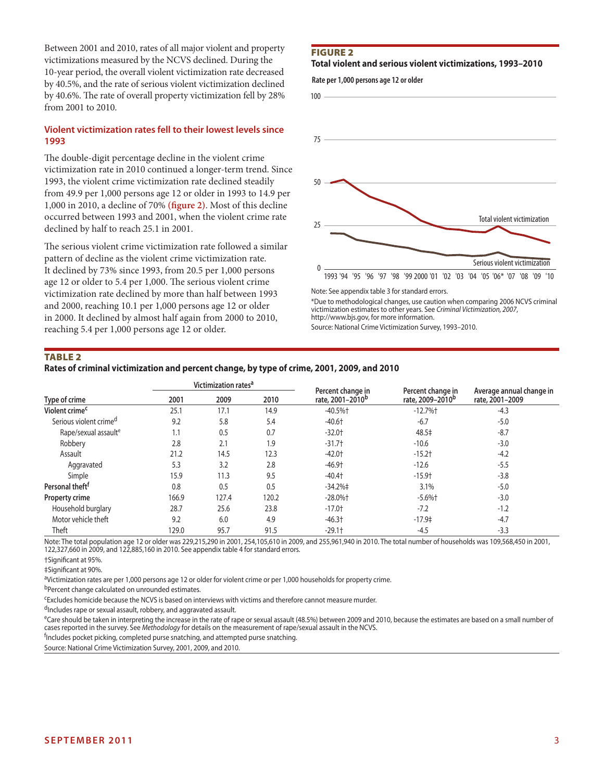Between 2001 and 2010, rates of all major violent and property victimizations measured by the NCVS declined. During the 10-year period, the overall violent victimization rate decreased by 40.5%, and the rate of serious violent victimization declined by 40.6%. The rate of overall property victimization fell by 28% from 2001 to 2010.

# **Violent victimization rates fell to their lowest levels since 1993**

The double-digit percentage decline in the violent crime victimization rate in 2010 continued a longer-term trend. Since 1993, the violent crime victimization rate declined steadily from 49.9 per 1,000 persons age 12 or older in 1993 to 14.9 per 1,000 in 2010, a decline of 70% **(figure 2)**. Most of this decline occurred between 1993 and 2001, when the violent crime rate declined by half to reach 25.1 in 2001.

The serious violent crime victimization rate followed a similar pattern of decline as the violent crime victimization rate. It declined by 73% since 1993, from 20.5 per 1,000 persons age 12 or older to 5.4 per 1,000. The serious violent crime victimization rate declined by more than half between 1993 and 2000, reaching 10.1 per 1,000 persons age 12 or older in 2000. It declined by almost half again from 2000 to 2010, reaching 5.4 per 1,000 persons age 12 or older.

#### Figure 2

#### **Total violent and serious violent victimizations, 1993–2010**

**Rate per 1,000 persons age 12 or older**



\*Due to methodological changes, use caution when comparing 2006 NCVS criminal victimization estimates to other years. See *Criminal Victimization, 2007*, http://www.bjs.gov, for more information.

Source: National Crime Victimization Survey, 1993–2010.

#### Table 2

#### **Rates of criminal victimization and percent change, by type of crime, 2001, 2009, and 2010**

|                                    |       | Victimization rates <sup>a</sup> |       | Percent change in            | Percent change in            | Average annual change in |
|------------------------------------|-------|----------------------------------|-------|------------------------------|------------------------------|--------------------------|
| Type of crime                      | 2001  | 2009                             | 2010  | rate, 2001-2010 <sup>b</sup> | rate, 2009-2010 <sup>b</sup> | rate, 2001-2009          |
| Violent crime <sup>c</sup>         | 25.1  | 17.1                             | 14.9  | $-40.5%$ †                   | $-12.7%$                     | $-4.3$                   |
| Serious violent crime <sup>d</sup> | 9.2   | 5.8                              | 5.4   | $-40.6$ <sup>+</sup>         | $-6.7$                       | $-5.0$                   |
| Rape/sexual assault <sup>e</sup>   | 1.1   | 0.5                              | 0.7   | $-32.0$ <sup>+</sup>         | 48.5‡                        | $-8.7$                   |
| Robbery                            | 2.8   | 2.1                              | 1.9   | $-31.7+$                     | $-10.6$                      | $-3.0$                   |
| Assault                            | 21.2  | 14.5                             | 12.3  | $-42.0+$                     | $-15.2$ <sup>+</sup>         | $-4.2$                   |
| Aggravated                         | 5.3   | 3.2                              | 2.8   | $-46.9$ <sup>+</sup>         | $-12.6$                      | $-5.5$                   |
| Simple                             | 15.9  | 11.3                             | 9.5   | $-40.4$ <sup>+</sup>         | $-15.9$ <sup>+</sup>         | $-3.8$                   |
| Personal theft <sup>f</sup>        | 0.8   | 0.5                              | 0.5   | $-34.2% \pm 1$               | 3.1%                         | $-5.0$                   |
| <b>Property crime</b>              | 166.9 | 127.4                            | 120.2 | $-28.0\%$ +                  | $-5.6%$ †                    | $-3.0$                   |
| Household burglary                 | 28.7  | 25.6                             | 23.8  | $-17.0+$                     | $-7.2$                       | $-1.2$                   |
| Motor vehicle theft                | 9.2   | 6.0                              | 4.9   | $-46.3$ <sup>+</sup>         | $-17.9‡$                     | $-4.7$                   |
| Theft                              | 129.0 | 95.7                             | 91.5  | $-29.1$ <sup>+</sup>         | $-4.5$                       | $-3.3$                   |

Note: The total population age 12 or older was 229,215,290 in 2001, 254,105,610 in 2009, and 255,961,940 in 2010. The total number of households was 109,568,450 in 2001, 122,327,660 in 2009, and 122,885,160 in 2010. See appendix table 4 for standard errors.

†Significant at 95%.

‡Significant at 90%.

aVictimization rates are per 1,000 persons age 12 or older for violent crime or per 1,000 households for property crime.

bPercent change calculated on unrounded estimates.

cExcludes homicide because the NCVS is based on interviews with victims and therefore cannot measure murder.

<sup>d</sup>Includes rape or sexual assault, robbery, and aggravated assault.

eCare should be taken in interpreting the increase in the rate of rape or sexual assault (48.5%) between 2009 and 2010, because the estimates are based on a small number of cases reported in the survey. See *Methodology* for details on the measurement of rape/sexual assault in the NCVS.

<sup>f</sup>Includes pocket picking, completed purse snatching, and attempted purse snatching.

Source: National Crime Victimization Survey, 2001, 2009, and 2010.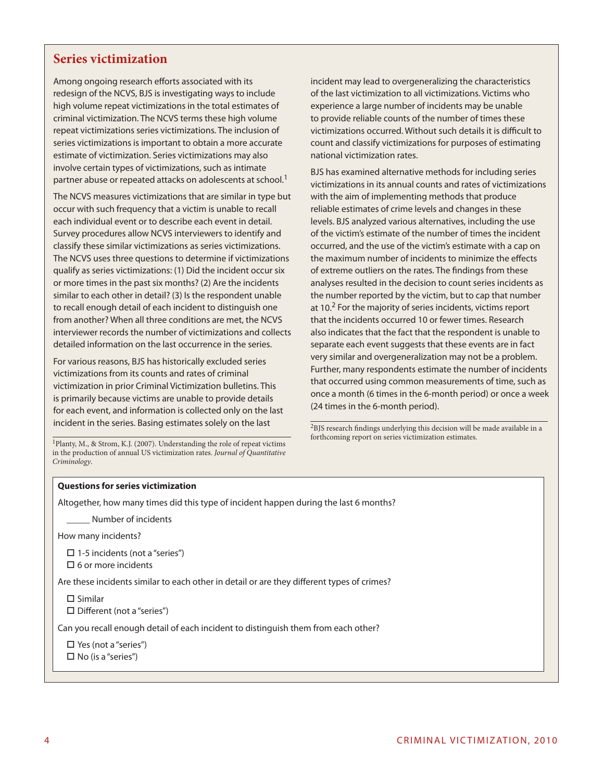# **Series victimization**

Among ongoing research efforts associated with its redesign of the NCVS, BJS is investigating ways to include high volume repeat victimizations in the total estimates of criminal victimization. The NCVS terms these high volume repeat victimizations series victimizations. The inclusion of series victimizations is important to obtain a more accurate estimate of victimization. Series victimizations may also involve certain types of victimizations, such as intimate partner abuse or repeated attacks on adolescents at school.<sup>1</sup>

The NCVS measures victimizations that are similar in type but occur with such frequency that a victim is unable to recall each individual event or to describe each event in detail. Survey procedures allow NCVS interviewers to identify and classify these similar victimizations as series victimizations. The NCVS uses three questions to determine if victimizations qualify as series victimizations: (1) Did the incident occur six or more times in the past six months? (2) Are the incidents similar to each other in detail? (3) Is the respondent unable to recall enough detail of each incident to distinguish one from another? When all three conditions are met, the NCVS interviewer records the number of victimizations and collects detailed information on the last occurrence in the series.

For various reasons, BJS has historically excluded series victimizations from its counts and rates of criminal victimization in prior Criminal Victimization bulletins. This is primarily because victims are unable to provide details for each event, and information is collected only on the last incident in the series. Basing estimates solely on the last

1Planty, M., & Strom, K.J. (2007). Understanding the role of repeat victims in the production of annual US victimization rates. *Journal of Quantitative Criminology*.

incident may lead to overgeneralizing the characteristics of the last victimization to all victimizations. Victims who experience a large number of incidents may be unable to provide reliable counts of the number of times these victimizations occurred. Without such details it is difficult to count and classify victimizations for purposes of estimating national victimization rates.

BJS has examined alternative methods for including series victimizations in its annual counts and rates of victimizations with the aim of implementing methods that produce reliable estimates of crime levels and changes in these levels. BJS analyzed various alternatives, including the use of the victim's estimate of the number of times the incident occurred, and the use of the victim's estimate with a cap on the maximum number of incidents to minimize the effects of extreme outliers on the rates. The findings from these analyses resulted in the decision to count series incidents as the number reported by the victim, but to cap that number at 10.<sup>2</sup> For the majority of series incidents, victims report that the incidents occurred 10 or fewer times. Research also indicates that the fact that the respondent is unable to separate each event suggests that these events are in fact very similar and overgeneralization may not be a problem. Further, many respondents estimate the number of incidents that occurred using common measurements of time, such as once a month (6 times in the 6-month period) or once a week (24 times in the 6-month period).

 ${\rm ^2BJS}$  research findings underlying this decision will be made available in a forthcoming report on series victimization estimates.

#### **Questions for series victimization**

Altogether, how many times did this type of incident happen during the last 6 months?

\_\_\_\_\_ Number of incidents

How many incidents?

 $\Box$  1-5 incidents (not a "series")

 $\square$  6 or more incidents

Are these incidents similar to each other in detail or are they different types of crimes?

 $\square$  Similar

 $\square$  Different (not a "series")

Can you recall enough detail of each incident to distinguish them from each other?

 $\square$  Yes (not a "series")

 $\Box$  No (is a "series")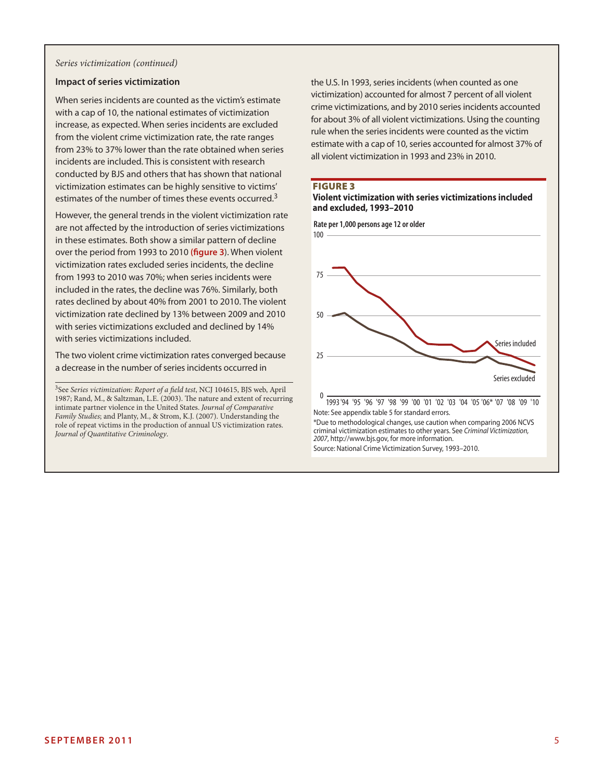#### *Series victimization (continued)*

#### **Impact of series victimization**

When series incidents are counted as the victim's estimate with a cap of 10, the national estimates of victimization increase, as expected. When series incidents are excluded from the violent crime victimization rate, the rate ranges from 23% to 37% lower than the rate obtained when series incidents are included. This is consistent with research conducted by BJS and others that has shown that national victimization estimates can be highly sensitive to victims' estimates of the number of times these events occurred.<sup>3</sup>

However, the general trends in the violent victimization rate are not affected by the introduction of series victimizations in these estimates. Both show a similar pattern of decline over the period from 1993 to 2010 **(figure 3**). When violent victimization rates excluded series incidents, the decline from 1993 to 2010 was 70%; when series incidents were included in the rates, the decline was 76%. Similarly, both rates declined by about 40% from 2001 to 2010. The violent victimization rate declined by 13% between 2009 and 2010 with series victimizations excluded and declined by 14% with series victimizations included.

The two violent crime victimization rates converged because a decrease in the number of series incidents occurred in

3See *Series victimization: Report of a field test*, NCJ 104615, BJS web, April 1987; Rand, M., & Saltzman, L.E. (2003). The nature and extent of recurring intimate partner violence in the United States. *Journal of Comparative Family Studies*; and Planty, M., & Strom, K.J. (2007). Understanding the role of repeat victims in the production of annual US victimization rates. *Journal of Quantitative Criminology*.

the U.S. In 1993, series incidents (when counted as one victimization) accounted for almost 7 percent of all violent crime victimizations, and by 2010 series incidents accounted for about 3% of all violent victimizations. Using the counting rule when the series incidents were counted as the victim estimate with a cap of 10, series accounted for almost 37% of all violent victimization in 1993 and 23% in 2010.

#### **FIGURE 3**

#### **Violent victimization with series victimizations included and excluded, 1993–2010**



Source: National Crime Victimization Survey, 1993–2010.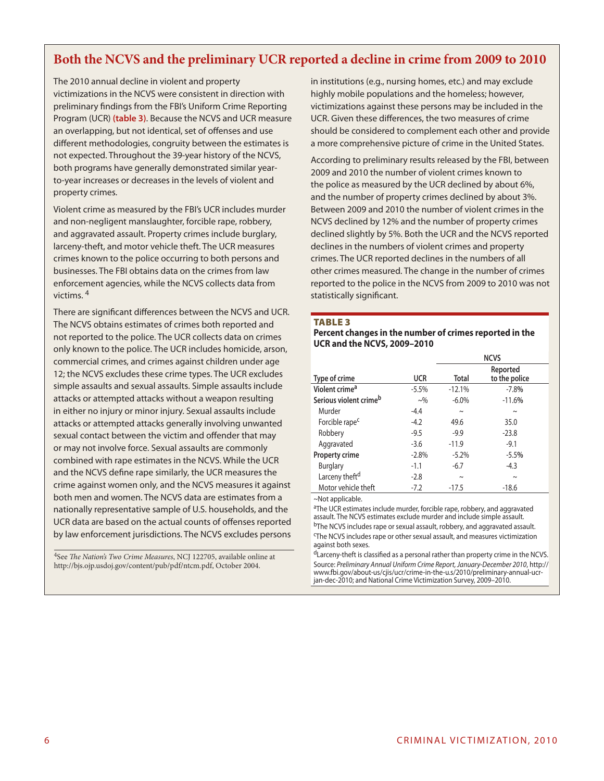# **Both the NCVS and the preliminary UCR reported a decline in crime from 2009 to 2010**

The 2010 annual decline in violent and property victimizations in the NCVS were consistent in direction with preliminary findings from the FBI's Uniform Crime Reporting Program (UCR) **(table 3)**. Because the NCVS and UCR measure an overlapping, but not identical, set of offenses and use different methodologies, congruity between the estimates is not expected. Throughout the 39-year history of the NCVS, both programs have generally demonstrated similar yearto-year increases or decreases in the levels of violent and property crimes.

Violent crime as measured by the FBI's UCR includes murder and non-negligent manslaughter, forcible rape, robbery, and aggravated assault. Property crimes include burglary, larceny-theft, and motor vehicle theft. The UCR measures crimes known to the police occurring to both persons and businesses. The FBI obtains data on the crimes from law enforcement agencies, while the NCVS collects data from victims. 4

There are significant differences between the NCVS and UCR. The NCVS obtains estimates of crimes both reported and not reported to the police. The UCR collects data on crimes only known to the police. The UCR includes homicide, arson, commercial crimes, and crimes against children under age 12; the NCVS excludes these crime types. The UCR excludes simple assaults and sexual assaults. Simple assaults include attacks or attempted attacks without a weapon resulting in either no injury or minor injury. Sexual assaults include attacks or attempted attacks generally involving unwanted sexual contact between the victim and offender that may or may not involve force. Sexual assaults are commonly combined with rape estimates in the NCVS. While the UCR and the NCVS define rape similarly, the UCR measures the crime against women only, and the NCVS measures it against both men and women. The NCVS data are estimates from a nationally representative sample of U.S. households, and the UCR data are based on the actual counts of offenses reported by law enforcement jurisdictions. The NCVS excludes persons

4See *The Nation's Two Crime Measures*, NCJ 122705, available online at http://bjs.ojp.usdoj.gov/content/pub/pdf/ntcm.pdf, October 2004.

in institutions (e.g., nursing homes, etc.) and may exclude highly mobile populations and the homeless; however, victimizations against these persons may be included in the UCR. Given these differences, the two measures of crime should be considered to complement each other and provide a more comprehensive picture of crime in the United States.

According to preliminary results released by the FBI, between 2009 and 2010 the number of violent crimes known to the police as measured by the UCR declined by about 6%, and the number of property crimes declined by about 3%. Between 2009 and 2010 the number of violent crimes in the NCVS declined by 12% and the number of property crimes declined slightly by 5%. Both the UCR and the NCVS reported declines in the numbers of violent crimes and property crimes. The UCR reported declines in the numbers of all other crimes measured. The change in the number of crimes reported to the police in the NCVS from 2009 to 2010 was not statistically significant.

#### **TABLE 3**

**Percent changes in the number of crimes reported in the UCR and the NCVS, 2009–2010**

|                                    |            | <b>NCVS</b> |                           |  |  |
|------------------------------------|------------|-------------|---------------------------|--|--|
| Type of crime                      | <b>UCR</b> | Total       | Reported<br>to the police |  |  |
| Violent crime <sup>a</sup>         | $-5.5%$    | $-12.1%$    | $-7.8%$                   |  |  |
| Serious violent crime <sup>b</sup> | $\sim\!\%$ | $-6.0\%$    | $-11.6%$                  |  |  |
| Murder                             | $-4.4$     | $\sim$      | $\tilde{}$                |  |  |
| Forcible rape <sup>c</sup>         | $-4.2$     | 49.6        | 35.0                      |  |  |
| Robbery                            | $-9.5$     | $-9.9$      | $-23.8$                   |  |  |
| Aggravated                         | $-3.6$     | $-11.9$     | $-9.1$                    |  |  |
| <b>Property crime</b>              | $-2.8%$    | $-5.2%$     | $-5.5%$                   |  |  |
| <b>Burglary</b>                    | $-1.1$     | $-6.7$      | $-4.3$                    |  |  |
| Larceny theft <sup>d</sup>         | $-2.8$     | $\sim$      | $\sim$                    |  |  |
| Motor vehicle theft                | $-7.2$     | $-17.5$     | $-18.6$                   |  |  |

~Not applicable.

<sup>a</sup>The UCR estimates include murder, forcible rape, robbery, and aggravated assault. The NCVS estimates exclude murder and include simple assault. <sup>b</sup>The NCVS includes rape or sexual assault, robbery, and aggravated assault.

cThe NCVS includes rape or other sexual assault, and measures victimization against both sexes.

<sup>d</sup>Larceny-theft is classified as a personal rather than property crime in the NCVS. Source: *Preliminary Annual Uniform Crime Report, January-December 2010*, http:// www.fbi.gov/about-us/cjis/ucr/crime-in-the-u.s/2010/preliminary-annual-ucrjan-dec-2010; and National Crime Victimization Survey, 2009-2010.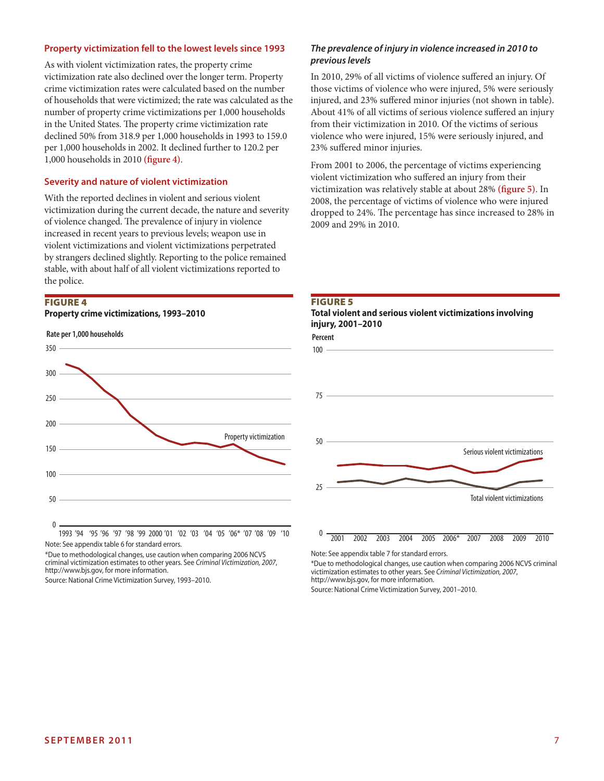#### **Property victimization fell to the lowest levels since 1993**

As with violent victimization rates, the property crime victimization rate also declined over the longer term. Property crime victimization rates were calculated based on the number of households that were victimized; the rate was calculated as the number of property crime victimizations per 1,000 households in the United States. The property crime victimization rate declined 50% from 318.9 per 1,000 households in 1993 to 159.0 per 1,000 households in 2002. It declined further to 120.2 per 1,000 households in 2010 **(figure 4)**.

#### **Severity and nature of violent victimization**

With the reported declines in violent and serious violent victimization during the current decade, the nature and severity of violence changed. The prevalence of injury in violence increased in recent years to previous levels; weapon use in violent victimizations and violent victimizations perpetrated by strangers declined slightly. Reporting to the police remained stable, with about half of all violent victimizations reported to the police.

# Figure 4





Note: See appendix table 6 for standard errors.

\*Due to methodological changes, use caution when comparing 2006 NCVS criminal victimization estimates to other years. See *Criminal Victimization, 2007*, http://www.bjs.gov, for more information.

Source: National Crime Victimization Survey, 1993–2010.

#### *The prevalence of injury in violence increased in 2010 to previous levels*

In 2010, 29% of all victims of violence suffered an injury. Of those victims of violence who were injured, 5% were seriously injured, and 23% suffered minor injuries (not shown in table). About 41% of all victims of serious violence suffered an injury from their victimization in 2010. Of the victims of serious violence who were injured, 15% were seriously injured, and 23% suffered minor injuries.

From 2001 to 2006, the percentage of victims experiencing violent victimization who suffered an injury from their victimization was relatively stable at about 28% **(figure 5)**. In 2008, the percentage of victims of violence who were injured dropped to 24%. The percentage has since increased to 28% in 2009 and 29% in 2010.







Note: See appendix table 7 for standard errors.

\*Due to methodological changes, use caution when comparing 2006 NCVS criminal victimization estimates to other years. See *Criminal Victimization, 2007*, http://www.bjs.gov, for more information.

Source: National Crime Victimization Survey, 2001–2010.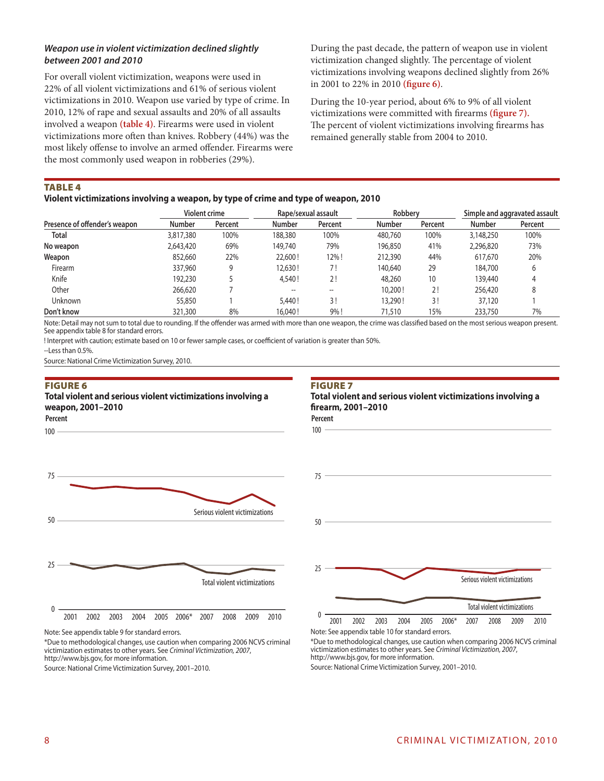# *Weapon use in violent victimization declined slightly between 2001 and 2010*

For overall violent victimization, weapons were used in 22% of all violent victimizations and 61% of serious violent victimizations in 2010. Weapon use varied by type of crime. In 2010, 12% of rape and sexual assaults and 20% of all assaults involved a weapon **(table 4)**. Firearms were used in violent victimizations more often than knives. Robbery (44%) was the most likely offense to involve an armed offender. Firearms were the most commonly used weapon in robberies (29%).

During the past decade, the pattern of weapon use in violent victimization changed slightly. The percentage of violent victimizations involving weapons declined slightly from 26% in 2001 to 22% in 2010 **(figure 6)**.

During the 10-year period, about 6% to 9% of all violent victimizations were committed with firearms **(figure 7).** The percent of violent victimizations involving firearms has remained generally stable from 2004 to 2010.

**TABLE 4** 

**Violent victimizations involving a weapon, by type of crime and type of weapon, 2010**

|                               | <b>Violent crime</b> |         | Rape/sexual assault |         | Robbery |         | Simple and aggravated assault |         |
|-------------------------------|----------------------|---------|---------------------|---------|---------|---------|-------------------------------|---------|
| Presence of offender's weapon | <b>Number</b>        | Percent | <b>Number</b>       | Percent | Number  | Percent | <b>Number</b>                 | Percent |
| <b>Total</b>                  | 3,817,380            | 100%    | 188,380             | 100%    | 480,760 | 100%    | 3,148,250                     | 100%    |
| No weapon                     | 2,643,420            | 69%     | 149,740             | 79%     | 196.850 | 41%     | 2,296,820                     | 73%     |
| Weapon                        | 852,660              | 22%     | 22,600!             | 12%!    | 212,390 | 44%     | 617,670                       | 20%     |
| Firearm                       | 337,960              |         | 12,630!             | 7!      | 140,640 | 29      | 184,700                       |         |
| Knife                         | 192,230              |         | 4,540!              | 2!      | 48,260  | 10      | 139,440                       | 4       |
| Other                         | 266,620              |         | $\hspace{0.05cm}$   | --      | 10,200! | 2!      | 256,420                       |         |
| <b>Unknown</b>                | 55,850               |         | 5,440 !             | 3!      | 13,290! | 3!      | 37,120                        |         |
| Don't know                    | 321,300              | 8%      | 16,040!             | 9%!     | 71,510  | 15%     | 233,750                       | 7%      |

Note: Detail may not sum to total due to rounding. If the offender was armed with more than one weapon, the crime was classified based on the most serious weapon present. See appendix table 8 for standard errors.

! Interpret with caution; estimate based on 10 or fewer sample cases, or coefficient of variation is greater than 50%.

--Less than 0.5%.

Source: National Crime Victimization Survey, 2010.

#### Figure 6

#### **Percent Total violent and serious violent victimizations involving a weapon, 2001–2010**



100

**Percent Total violent and serious violent victimizations involving a firearm, 2001–2010**



Note: See appendix table 9 for standard errors.

\*Due to methodological changes, use caution when comparing 2006 NCVS criminal victimization estimates to other years. See *Criminal Victimization, 2007*, http://www.bjs.gov, for more information.

Source: National Crime Victimization Survey, 2001–2010.



2001 2002 2003 2004 2005 2006\* 2007 2008 2009 2010 Note: See appendix table 10 for standard errors.

\*Due to methodological changes, use caution when comparing 2006 NCVS criminal victimization estimates to other years. See *Criminal Victimization, 2007*, http://www.bjs.gov, for more information.

Source: National Crime Victimization Survey, 2001–2010.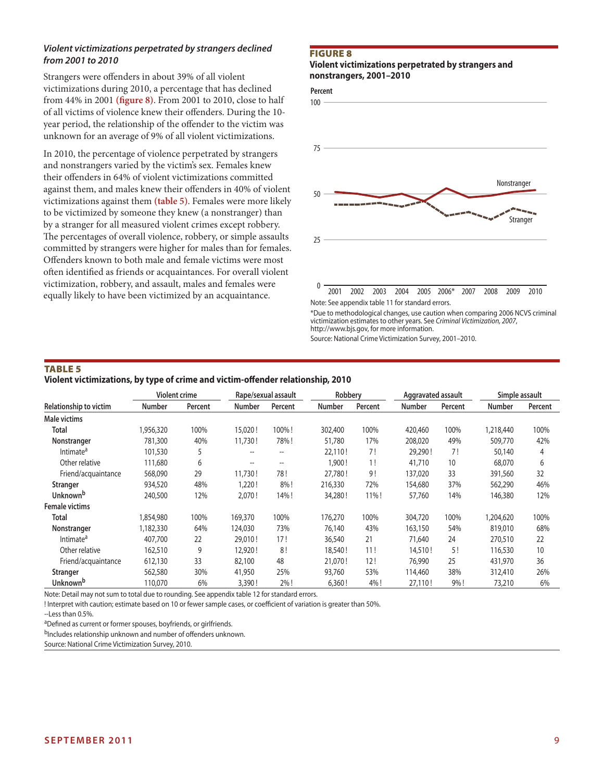# *Violent victimizations perpetrated by strangers declined from 2001 to 2010*

Strangers were offenders in about 39% of all violent victimizations during 2010, a percentage that has declined from 44% in 2001 **(figure 8)**. From 2001 to 2010, close to half of all victims of violence knew their offenders. During the 10 year period, the relationship of the offender to the victim was unknown for an average of 9% of all violent victimizations.

In 2010, the percentage of violence perpetrated by strangers and nonstrangers varied by the victim's sex. Females knew their offenders in 64% of violent victimizations committed against them, and males knew their offenders in 40% of violent victimizations against them **(table 5)**. Females were more likely to be victimized by someone they knew (a nonstranger) than by a stranger for all measured violent crimes except robbery. The percentages of overall violence, robbery, or simple assaults committed by strangers were higher for males than for females. Offenders known to both male and female victims were most often identified as friends or acquaintances. For overall violent victimization, robbery, and assault, males and females were equally likely to have been victimized by an acquaintance.

#### Figure 8

#### **Violent victimizations perpetrated by strangers and nonstrangers, 2001–2010**



victimization estimates to other years. See *Criminal Victimization, 2007*, http://www.bjs.gov, for more information.

Source: National Crime Victimization Survey, 2001–2010.

# TABLE<sub>5</sub>

**Violent victimizations, by type of crime and victim-offender relationship, 2010**

|                               |           | <b>Violent crime</b> |                          | Rape/sexual assault      | Robberv       |         | Aggravated assault |         |               | Simple assault |
|-------------------------------|-----------|----------------------|--------------------------|--------------------------|---------------|---------|--------------------|---------|---------------|----------------|
| <b>Relationship to victim</b> | Number    | Percent              | <b>Number</b>            | Percent                  | <b>Number</b> | Percent | <b>Number</b>      | Percent | <b>Number</b> | Percent        |
| Male victims                  |           |                      |                          |                          |               |         |                    |         |               |                |
| Total                         | 1,956,320 | 100%                 | 15,020!                  | 100%!                    | 302,400       | 100%    | 420,460            | 100%    | 1,218,440     | 100%           |
| Nonstranger                   | 781,300   | 40%                  | 11,730!                  | 78%!                     | 51,780        | 17%     | 208,020            | 49%     | 509,770       | 42%            |
| Intimate <sup>a</sup>         | 101,530   | 5                    | $\overline{\phantom{a}}$ | $\hspace{0.05cm} \ldots$ | 22,110!       | 7!      | 29,290!            | 7!      | 50,140        | 4              |
| Other relative                | 111,680   | 6                    | $\hspace{0.05cm}$        | $\hspace{0.05cm} \ldots$ | 1,900 !       | 1!      | 41,710             | 10      | 68,070        | 6              |
| Friend/acquaintance           | 568,090   | 29                   | 11,730!                  | 78!                      | 27,780!       | 9!      | 137,020            | 33      | 391,560       | 32             |
| Stranger                      | 934,520   | 48%                  | 1,220!                   | 8%!                      | 216,330       | 72%     | 154,680            | 37%     | 562,290       | 46%            |
| Unknown <sup>b</sup>          | 240,500   | 12%                  | 2,070!                   | 14%!                     | 34,280!       | 11%!    | 57,760             | 14%     | 146,380       | 12%            |
| <b>Female victims</b>         |           |                      |                          |                          |               |         |                    |         |               |                |
| Total                         | 1,854,980 | 100%                 | 169,370                  | 100%                     | 176,270       | 100%    | 304,720            | 100%    | 1,204,620     | 100%           |
| Nonstranger                   | 1,182,330 | 64%                  | 124,030                  | 73%                      | 76,140        | 43%     | 163,150            | 54%     | 819,010       | 68%            |
| Intimate <sup>a</sup>         | 407,700   | 22                   | 29,010!                  | 17!                      | 36,540        | 21      | 71,640             | 24      | 270,510       | 22             |
| Other relative                | 162,510   | 9                    | 12,920!                  | 8!                       | 18,540!       | 11!     | 14,510!            | 5!      | 116,530       | 10             |
| Friend/acquaintance           | 612,130   | 33                   | 82,100                   | 48                       | 21,070!       | 12!     | 76,990             | 25      | 431,970       | 36             |
| <b>Stranger</b>               | 562,580   | 30%                  | 41,950                   | 25%                      | 93,760        | 53%     | 114,460            | 38%     | 312,410       | 26%            |
| Unknown <sup>b</sup>          | 110,070   | 6%                   | 3,390!                   | 2%!                      | 6,360!        | 4%!     | 27,110!            | 9%!     | 73,210        | 6%             |

Note: Detail may not sum to total due to rounding. See appendix table 12 for standard errors.

! Interpret with caution; estimate based on 10 or fewer sample cases, or coefficient of variation is greater than 50%.

aDefined as current or former spouses, boyfriends, or girlfriends.

bIncludes relationship unknown and number of offenders unknown.

Source: National Crime Victimization Survey, 2010.

<sup>--</sup>Less than 0.5%.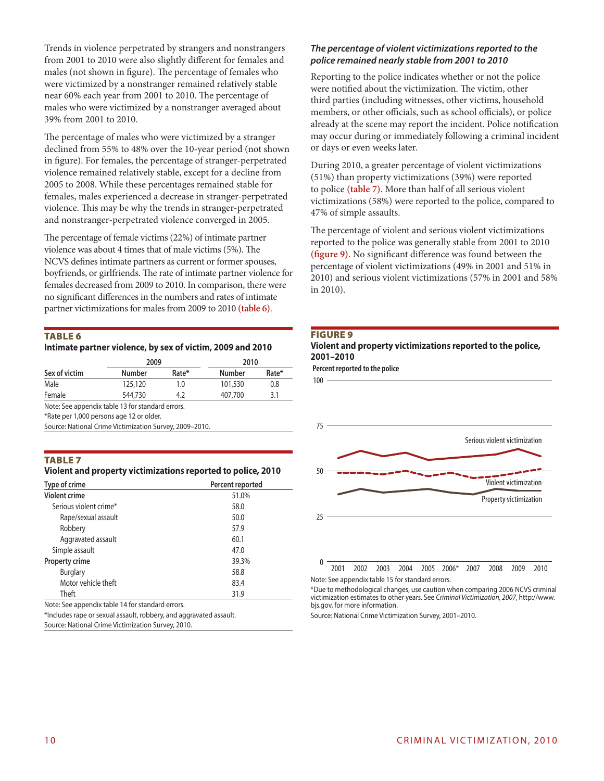Trends in violence perpetrated by strangers and nonstrangers from 2001 to 2010 were also slightly different for females and males (not shown in figure). The percentage of females who were victimized by a nonstranger remained relatively stable near 60% each year from 2001 to 2010. The percentage of males who were victimized by a nonstranger averaged about 39% from 2001 to 2010.

The percentage of males who were victimized by a stranger declined from 55% to 48% over the 10-year period (not shown in figure). For females, the percentage of stranger-perpetrated violence remained relatively stable, except for a decline from 2005 to 2008. While these percentages remained stable for females, males experienced a decrease in stranger-perpetrated violence. This may be why the trends in stranger-perpetrated and nonstranger-perpetrated violence converged in 2005.

The percentage of female victims (22%) of intimate partner violence was about 4 times that of male victims (5%). The NCVS defines intimate partners as current or former spouses, boyfriends, or girlfriends. The rate of intimate partner violence for females decreased from 2009 to 2010. In comparison, there were no significant differences in the numbers and rates of intimate partner victimizations for males from 2009 to 2010 **(table 6)**.

# Table 6

**Intimate partner violence, by sex of victim, 2009 and 2010**

|               | 2009          |       | 2010          |       |  |  |
|---------------|---------------|-------|---------------|-------|--|--|
| Sex of victim | <b>Number</b> | Rate* | <b>Number</b> | Rate* |  |  |
| Male          | 125,120       | 1.0   | 101,530       | 0.8   |  |  |
| Female        | 544,730       | 4.2   | 407,700       | 3.1   |  |  |
|               |               |       |               |       |  |  |

Note: See appendix table 13 for standard errors.

\*Rate per 1,000 persons age 12 or older.

Source: National Crime Victimization Survey, 2009–2010.

# Table 7

#### **Violent and property victimizations reported to police, 2010**

| Type of crime          | Percent reported |  |  |  |
|------------------------|------------------|--|--|--|
| <b>Violent crime</b>   | 51.0%            |  |  |  |
| Serious violent crime* | 58.0             |  |  |  |
| Rape/sexual assault    | 50.0             |  |  |  |
| Robbery                | 57.9             |  |  |  |
| Aggravated assault     | 60.1             |  |  |  |
| Simple assault         | 47.0             |  |  |  |
| <b>Property crime</b>  | 39.3%            |  |  |  |
| <b>Burglary</b>        | 58.8             |  |  |  |
| Motor vehicle theft    | 83.4             |  |  |  |
| Theft                  | 31.9             |  |  |  |

Note: See appendix table 14 for standard errors.

\*Includes rape or sexual assault, robbery, and aggravated assault. Source: National Crime Victimization Survey, 2010.

#### *The percentage of violent victimizations reported to the police remained nearly stable from 2001 to 2010*

Reporting to the police indicates whether or not the police were notified about the victimization. The victim, other third parties (including witnesses, other victims, household members, or other officials, such as school officials), or police already at the scene may report the incident. Police notification may occur during or immediately following a criminal incident or days or even weeks later.

During 2010, a greater percentage of violent victimizations (51%) than property victimizations (39%) were reported to police **(table 7)**. More than half of all serious violent victimizations (58%) were reported to the police, compared to 47% of simple assaults.

The percentage of violent and serious violent victimizations reported to the police was generally stable from 2001 to 2010 **(figure 9)**. No significant difference was found between the percentage of violent victimizations (49% in 2001 and 51% in 2010) and serious violent victimizations (57% in 2001 and 58% in 2010).





**Percent reported to the police**



Note: See appendix table 15 for standard errors.

\*Due to methodological changes, use caution when comparing 2006 NCVS criminal victimization estimates to other years. See *Criminal Victimization, 2007*, http://www. bjs.gov, for more information.

Source: National Crime Victimization Survey, 2001–2010.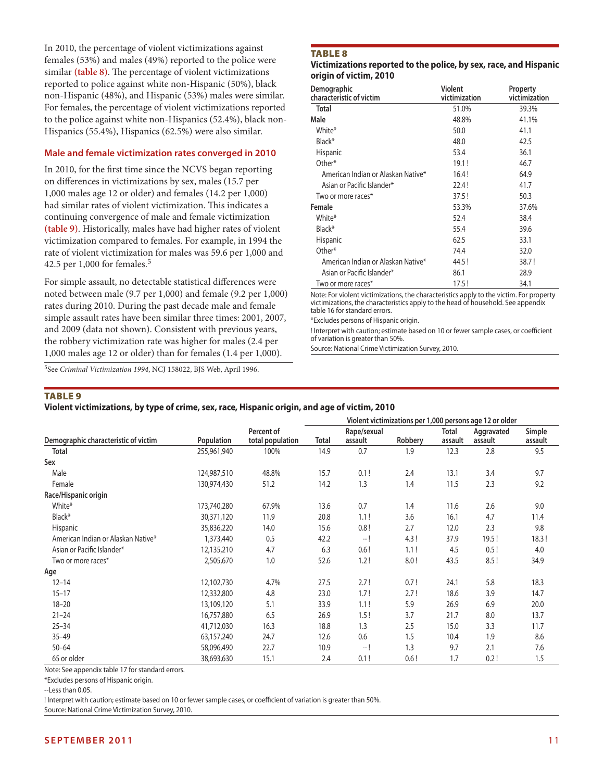In 2010, the percentage of violent victimizations against females (53%) and males (49%) reported to the police were similar **(table 8)**. The percentage of violent victimizations reported to police against white non-Hispanic (50%), black non-Hispanic (48%), and Hispanic (53%) males were similar. For females, the percentage of violent victimizations reported to the police against white non-Hispanics (52.4%), black non-Hispanics (55.4%), Hispanics (62.5%) were also similar.

#### **Male and female victimization rates converged in 2010**

In 2010, for the first time since the NCVS began reporting on differences in victimizations by sex, males (15.7 per 1,000 males age 12 or older) and females (14.2 per 1,000) had similar rates of violent victimization. This indicates a continuing convergence of male and female victimization **(table 9)**. Historically, males have had higher rates of violent victimization compared to females. For example, in 1994 the rate of violent victimization for males was 59.6 per 1,000 and 42.5 per 1,000 for females.5

For simple assault, no detectable statistical differences were noted between male (9.7 per 1,000) and female (9.2 per 1,000) rates during 2010. During the past decade male and female simple assault rates have been similar three times: 2001, 2007, and 2009 (data not shown). Consistent with previous years, the robbery victimization rate was higher for males (2.4 per 1,000 males age 12 or older) than for females (1.4 per 1,000).

5See *Criminal Victimization 1994*, NCJ 158022, BJS Web, April 1996.

# **TABLE 8**

#### **Victimizations reported to the police, by sex, race, and Hispanic origin of victim, 2010**

| Demographic<br>characteristic of victim | <b>Violent</b><br>victimization | Property<br>victimization |
|-----------------------------------------|---------------------------------|---------------------------|
| <b>Total</b>                            | 51.0%                           | 39.3%                     |
| Male                                    | 48.8%                           | 41.1%                     |
| White*                                  | 50.0                            | 41.1                      |
| Black*                                  | 48.0                            | 42.5                      |
| <b>Hispanic</b>                         | 53.4                            | 36.1                      |
| Other*                                  | 19.1!                           | 46.7                      |
| American Indian or Alaskan Native*      | 16.4!                           | 64.9                      |
| Asian or Pacific Islander*              | 22.4!                           | 41.7                      |
| Two or more races*                      | 37.5!                           | 50.3                      |
| Female                                  | 53.3%                           | 37.6%                     |
| White*                                  | 52.4                            | 38.4                      |
| Black*                                  | 55.4                            | 39.6                      |
| <b>Hispanic</b>                         | 62.5                            | 33.1                      |
| Other*                                  | 74.4                            | 32.0                      |
| American Indian or Alaskan Native*      | 44.5!                           | 38.7!                     |
| Asian or Pacific Islander*              | 86.1                            | 28.9                      |
| Two or more races*                      | 17.5!                           | 34.1                      |

Note: For violent victimizations, the characteristics apply to the victim. For property victimizations, the characteristics apply to the head of household. See appendix table 16 for standard errors.

\*Excludes persons of Hispanic origin.

! Interpret with caution; estimate based on 10 or fewer sample cases, or coefficient of variation is greater than 50%.

Source: National Crime Victimization Survey, 2010.

# **TABLE 9**

# **Violent victimizations, by type of crime, sex, race, Hispanic origin, and age of victim, 2010**

|                                      |             |                                | Violent victimizations per 1,000 persons age 12 or older |      |      |                  |                       |                   |
|--------------------------------------|-------------|--------------------------------|----------------------------------------------------------|------|------|------------------|-----------------------|-------------------|
| Demographic characteristic of victim | Population  | Percent of<br>total population | Rape/sexual<br>Robbery<br>Total<br>assault               |      |      | Total<br>assault | Aggravated<br>assault | Simple<br>assault |
| <b>Total</b>                         | 255,961,940 | 100%                           | 14.9                                                     | 0.7  | 1.9  | 12.3             | 2.8                   | 9.5               |
| Sex                                  |             |                                |                                                          |      |      |                  |                       |                   |
| Male                                 | 124,987,510 | 48.8%                          | 15.7                                                     | 0.1! | 2.4  | 13.1             | 3.4                   | 9.7               |
| Female                               | 130,974,430 | 51.2                           | 14.2                                                     | 1.3  | 1.4  | 11.5             | 2.3                   | 9.2               |
| Race/Hispanic origin                 |             |                                |                                                          |      |      |                  |                       |                   |
| White*                               | 173,740,280 | 67.9%                          | 13.6                                                     | 0.7  | 1.4  | 11.6             | 2.6                   | 9.0               |
| Black*                               | 30,371,120  | 11.9                           | 20.8                                                     | 1.1! | 3.6  | 16.1             | 4.7                   | 11.4              |
| Hispanic                             | 35,836,220  | 14.0                           | 15.6                                                     | 0.8! | 2.7  | 12.0             | 2.3                   | 9.8               |
| American Indian or Alaskan Native*   | 1,373,440   | 0.5                            | 42.2                                                     | — !  | 4.3! | 37.9             | 19.5!                 | 18.3!             |
| Asian or Pacific Islander*           | 12,135,210  | 4.7                            | 6.3                                                      | 0.6! | 1.1! | 4.5              | 0.5!                  | 4.0               |
| Two or more races*                   | 2,505,670   | 1.0                            | 52.6                                                     | 1.2! | 8.0! | 43.5             | 8.5!                  | 34.9              |
| Age                                  |             |                                |                                                          |      |      |                  |                       |                   |
| $12 - 14$                            | 12,102,730  | 4.7%                           | 27.5                                                     | 2.7! | 0.7! | 24.1             | 5.8                   | 18.3              |
| $15 - 17$                            | 12,332,800  | 4.8                            | 23.0                                                     | 1.7! | 2.7! | 18.6             | 3.9                   | 14.7              |
| $18 - 20$                            | 13,109,120  | 5.1                            | 33.9                                                     | 1.1! | 5.9  | 26.9             | 6.9                   | 20.0              |
| $21 - 24$                            | 16,757,880  | 6.5                            | 26.9                                                     | 1.5! | 3.7  | 21.7             | 8.0                   | 13.7              |
| $25 - 34$                            | 41,712,030  | 16.3                           | 18.8                                                     | 1.3  | 2.5  | 15.0             | 3.3                   | 11.7              |
| $35 - 49$                            | 63,157,240  | 24.7                           | 12.6                                                     | 0.6  | 1.5  | 10.4             | 1.9                   | 8.6               |
| $50 - 64$                            | 58,096,490  | 22.7                           | 10.9                                                     | -- ! | 1.3  | 9.7              | 2.1                   | 7.6               |
| 65 or older                          | 38,693,630  | 15.1                           | 2.4                                                      | 0.1! | 0.6! | 1.7              | 0.2!                  | 1.5               |

Note: See appendix table 17 for standard errors.

\*Excludes persons of Hispanic origin.

--Less than 0.05.

! Interpret with caution; estimate based on 10 or fewer sample cases, or coefficient of variation is greater than 50%.

Source: National Crime Victimization Survey, 2010.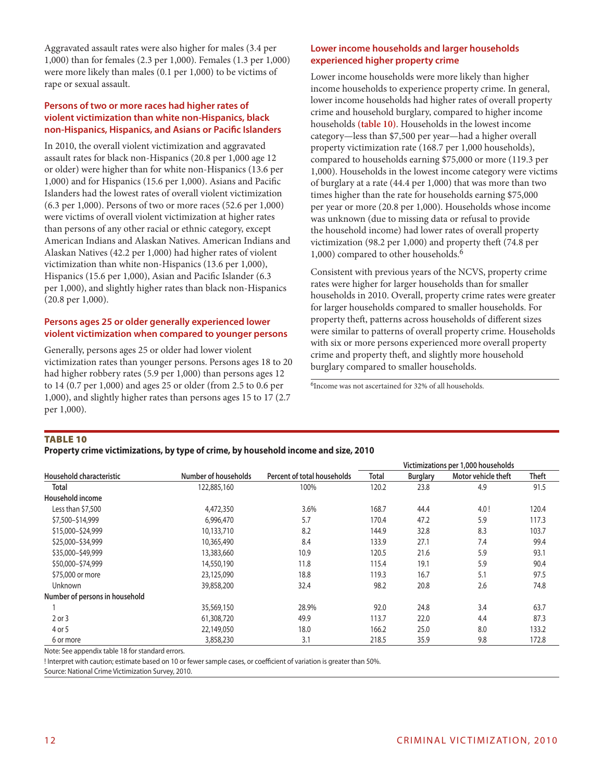Aggravated assault rates were also higher for males (3.4 per 1,000) than for females (2.3 per 1,000). Females (1.3 per 1,000) were more likely than males (0.1 per 1,000) to be victims of rape or sexual assault.

# **Persons of two or more races had higher rates of violent victimization than white non-Hispanics, black non-Hispanics, Hispanics, and Asians or Pacific Islanders**

In 2010, the overall violent victimization and aggravated assault rates for black non-Hispanics (20.8 per 1,000 age 12 or older) were higher than for white non-Hispanics (13.6 per 1,000) and for Hispanics (15.6 per 1,000). Asians and Pacific Islanders had the lowest rates of overall violent victimization (6.3 per 1,000). Persons of two or more races (52.6 per 1,000) were victims of overall violent victimization at higher rates than persons of any other racial or ethnic category, except American Indians and Alaskan Natives. American Indians and Alaskan Natives (42.2 per 1,000) had higher rates of violent victimization than white non-Hispanics (13.6 per 1,000), Hispanics (15.6 per 1,000), Asian and Pacific Islander (6.3 per 1,000), and slightly higher rates than black non-Hispanics (20.8 per 1,000).

# **Persons ages 25 or older generally experienced lower violent victimization when compared to younger persons**

Generally, persons ages 25 or older had lower violent victimization rates than younger persons. Persons ages 18 to 20 had higher robbery rates (5.9 per 1,000) than persons ages 12 to 14 (0.7 per 1,000) and ages 25 or older (from 2.5 to 0.6 per 1,000), and slightly higher rates than persons ages 15 to 17 (2.7 per 1,000).

# **Lower income households and larger households experienced higher property crime**

Lower income households were more likely than higher income households to experience property crime. In general, lower income households had higher rates of overall property crime and household burglary, compared to higher income households **(table 10)**. Households in the lowest income category—less than \$7,500 per year—had a higher overall property victimization rate (168.7 per 1,000 households), compared to households earning \$75,000 or more (119.3 per 1,000). Households in the lowest income category were victims of burglary at a rate (44.4 per 1,000) that was more than two times higher than the rate for households earning \$75,000 per year or more (20.8 per 1,000). Households whose income was unknown (due to missing data or refusal to provide the household income) had lower rates of overall property victimization (98.2 per 1,000) and property theft (74.8 per 1,000) compared to other households.6

Consistent with previous years of the NCVS, property crime rates were higher for larger households than for smaller households in 2010. Overall, property crime rates were greater for larger households compared to smaller households. For property theft, patterns across households of different sizes were similar to patterns of overall property crime. Households with six or more persons experienced more overall property crime and property theft, and slightly more household burglary compared to smaller households.

<sup>6</sup>Income was not ascertained for 32% of all households.

# Table 10

**Property crime victimizations, by type of crime, by household income and size, 2010**

|                                |                      |                             | Victimizations per 1,000 households |                 |                     |              |  |  |
|--------------------------------|----------------------|-----------------------------|-------------------------------------|-----------------|---------------------|--------------|--|--|
| Household characteristic       | Number of households | Percent of total households | <b>Total</b>                        | <b>Burglary</b> | Motor vehicle theft | <b>Theft</b> |  |  |
| Total                          | 122,885,160          | 100%                        | 120.2                               | 23.8            | 4.9                 | 91.5         |  |  |
| Household income               |                      |                             |                                     |                 |                     |              |  |  |
| Less than \$7,500              | 4,472,350            | 3.6%                        | 168.7                               | 44.4            | 4.0!                | 120.4        |  |  |
| \$7,500-\$14,999               | 6,996,470            | 5.7                         | 170.4                               | 47.2            | 5.9                 | 117.3        |  |  |
| \$15,000-\$24,999              | 10,133,710           | 8.2                         | 144.9                               | 32.8            | 8.3                 | 103.7        |  |  |
| \$25,000-\$34,999              | 10,365,490           | 8.4                         | 133.9                               | 27.1            | 7.4                 | 99.4         |  |  |
| \$35,000-\$49,999              | 13,383,660           | 10.9                        | 120.5                               | 21.6            | 5.9                 | 93.1         |  |  |
| \$50,000-\$74,999              | 14,550,190           | 11.8                        | 115.4                               | 19.1            | 5.9                 | 90.4         |  |  |
| \$75,000 or more               | 23,125,090           | 18.8                        | 119.3                               | 16.7            | 5.1                 | 97.5         |  |  |
| <b>Unknown</b>                 | 39,858,200           | 32.4                        | 98.2                                | 20.8            | 2.6                 | 74.8         |  |  |
| Number of persons in household |                      |                             |                                     |                 |                     |              |  |  |
|                                | 35,569,150           | 28.9%                       | 92.0                                | 24.8            | 3.4                 | 63.7         |  |  |
| 2 or 3                         | 61,308,720           | 49.9                        | 113.7                               | 22.0            | 4.4                 | 87.3         |  |  |
| 4 or 5                         | 22,149,050           | 18.0                        | 166.2                               | 25.0            | 8.0                 | 133.2        |  |  |
| 6 or more                      | 3,858,230            | 3.1                         | 218.5                               | 35.9            | 9.8                 | 172.8        |  |  |

Note: See appendix table 18 for standard errors.

! Interpret with caution; estimate based on 10 or fewer sample cases, or coefficient of variation is greater than 50%.

Source: National Crime Victimization Survey, 2010.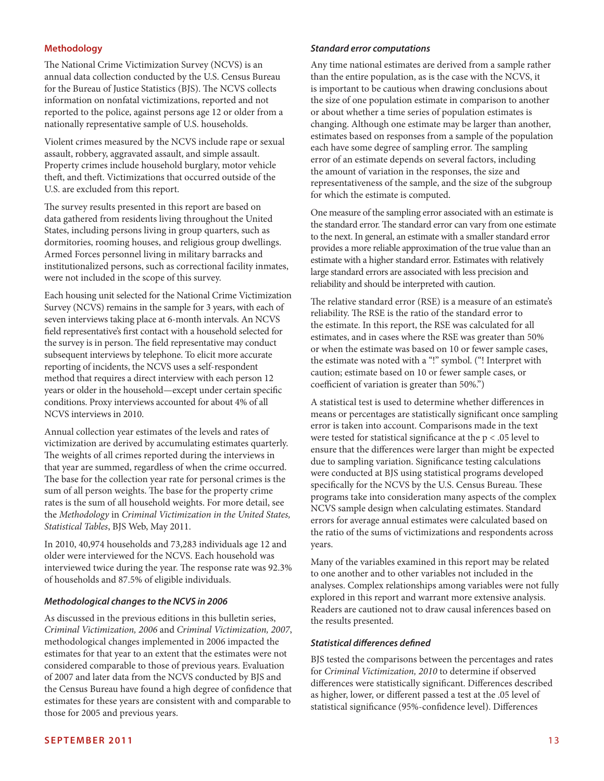# **Methodology**

The National Crime Victimization Survey (NCVS) is an annual data collection conducted by the U.S. Census Bureau for the Bureau of Justice Statistics (BJS). The NCVS collects information on nonfatal victimizations, reported and not reported to the police, against persons age 12 or older from a nationally representative sample of U.S. households.

Violent crimes measured by the NCVS include rape or sexual assault, robbery, aggravated assault, and simple assault. Property crimes include household burglary, motor vehicle theft, and theft. Victimizations that occurred outside of the U.S. are excluded from this report.

The survey results presented in this report are based on data gathered from residents living throughout the United States, including persons living in group quarters, such as dormitories, rooming houses, and religious group dwellings. Armed Forces personnel living in military barracks and institutionalized persons, such as correctional facility inmates, were not included in the scope of this survey.

Each housing unit selected for the National Crime Victimization Survey (NCVS) remains in the sample for 3 years, with each of seven interviews taking place at 6-month intervals. An NCVS field representative's first contact with a household selected for the survey is in person. The field representative may conduct subsequent interviews by telephone. To elicit more accurate reporting of incidents, the NCVS uses a self-respondent method that requires a direct interview with each person 12 years or older in the household—except under certain specific conditions. Proxy interviews accounted for about 4% of all NCVS interviews in 2010.

Annual collection year estimates of the levels and rates of victimization are derived by accumulating estimates quarterly. The weights of all crimes reported during the interviews in that year are summed, regardless of when the crime occurred. The base for the collection year rate for personal crimes is the sum of all person weights. The base for the property crime rates is the sum of all household weights. For more detail, see the *Methodology* in *Criminal Victimization in the United States, Statistical Tables*, BJS Web, May 2011.

In 2010, 40,974 households and 73,283 individuals age 12 and older were interviewed for the NCVS. Each household was interviewed twice during the year. The response rate was 92.3% of households and 87.5% of eligible individuals.

# *Methodological changes to the NCVS in 2006*

As discussed in the previous editions in this bulletin series, *Criminal Victimization, 2006* and *Criminal Victimization, 2007*, methodological changes implemented in 2006 impacted the estimates for that year to an extent that the estimates were not considered comparable to those of previous years. Evaluation of 2007 and later data from the NCVS conducted by BJS and the Census Bureau have found a high degree of confidence that estimates for these years are consistent with and comparable to those for 2005 and previous years.

# *Standard error computations*

Any time national estimates are derived from a sample rather than the entire population, as is the case with the NCVS, it is important to be cautious when drawing conclusions about the size of one population estimate in comparison to another or about whether a time series of population estimates is changing. Although one estimate may be larger than another, estimates based on responses from a sample of the population each have some degree of sampling error. The sampling error of an estimate depends on several factors, including the amount of variation in the responses, the size and representativeness of the sample, and the size of the subgroup for which the estimate is computed.

One measure of the sampling error associated with an estimate is the standard error. The standard error can vary from one estimate to the next. In general, an estimate with a smaller standard error provides a more reliable approximation of the true value than an estimate with a higher standard error. Estimates with relatively large standard errors are associated with less precision and reliability and should be interpreted with caution.

The relative standard error (RSE) is a measure of an estimate's reliability. The RSE is the ratio of the standard error to the estimate. In this report, the RSE was calculated for all estimates, and in cases where the RSE was greater than 50% or when the estimate was based on 10 or fewer sample cases, the estimate was noted with a "!" symbol. ("! Interpret with caution; estimate based on 10 or fewer sample cases, or coefficient of variation is greater than 50%.")

A statistical test is used to determine whether differences in means or percentages are statistically significant once sampling error is taken into account. Comparisons made in the text were tested for statistical significance at the p < .05 level to ensure that the differences were larger than might be expected due to sampling variation. Significance testing calculations were conducted at BJS using statistical programs developed specifically for the NCVS by the U.S. Census Bureau. These programs take into consideration many aspects of the complex NCVS sample design when calculating estimates. Standard errors for average annual estimates were calculated based on the ratio of the sums of victimizations and respondents across years.

Many of the variables examined in this report may be related to one another and to other variables not included in the analyses. Complex relationships among variables were not fully explored in this report and warrant more extensive analysis. Readers are cautioned not to draw causal inferences based on the results presented.

#### *Statistical differences defined*

BJS tested the comparisons between the percentages and rates for *Criminal Victimization, 2010* to determine if observed differences were statistically significant. Differences described as higher, lower, or different passed a test at the .05 level of statistical significance (95%-confidence level). Differences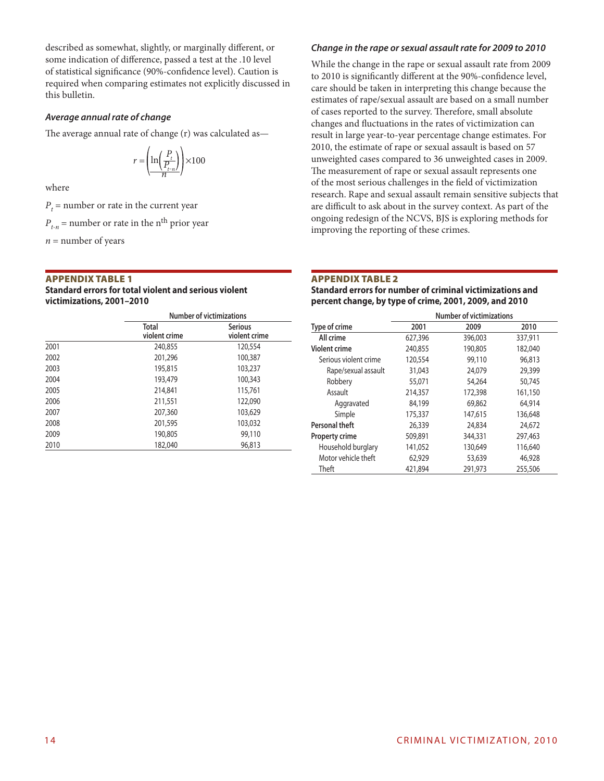described as somewhat, slightly, or marginally different, or some indication of difference, passed a test at the .10 level of statistical significance (90%-confidence level). Caution is required when comparing estimates not explicitly discussed in this bulletin.

#### *Average annual rate of change*

The average annual rate of change (r) was calculated as—

$$
r = \left(\frac{\ln\left(\frac{P_t}{P_{t-n}}\right)}{n}\right) \times 100
$$

where

 $P_t$  = number or rate in the current year

 $P_{t_n}$  = number or rate in the n<sup>th</sup> prior year

 $n =$  number of years

# Appendix Table 1

#### **Standard errors for total violent and serious violent victimizations, 2001–2010**

|      | Number of victimizations      |                                 |  |  |  |  |
|------|-------------------------------|---------------------------------|--|--|--|--|
|      | <b>Total</b><br>violent crime | <b>Serious</b><br>violent crime |  |  |  |  |
| 2001 | 240,855                       | 120,554                         |  |  |  |  |
| 2002 | 201,296                       | 100,387                         |  |  |  |  |
| 2003 | 195,815                       | 103,237                         |  |  |  |  |
| 2004 | 193,479                       | 100,343                         |  |  |  |  |
| 2005 | 214,841                       | 115,761                         |  |  |  |  |
| 2006 | 211,551                       | 122,090                         |  |  |  |  |
| 2007 | 207,360                       | 103,629                         |  |  |  |  |
| 2008 | 201,595                       | 103,032                         |  |  |  |  |
| 2009 | 190,805                       | 99,110                          |  |  |  |  |
| 2010 | 182,040                       | 96,813                          |  |  |  |  |

# *Change in the rape or sexual assault rate for 2009 to 2010*

While the change in the rape or sexual assault rate from 2009 to 2010 is significantly different at the 90%-confidence level, care should be taken in interpreting this change because the estimates of rape/sexual assault are based on a small number of cases reported to the survey. Therefore, small absolute changes and fluctuations in the rates of victimization can result in large year-to-year percentage change estimates. For 2010, the estimate of rape or sexual assault is based on 57 unweighted cases compared to 36 unweighted cases in 2009. The measurement of rape or sexual assault represents one of the most serious challenges in the field of victimization research. Rape and sexual assault remain sensitive subjects that are difficult to ask about in the survey context. As part of the ongoing redesign of the NCVS, BJS is exploring methods for improving the reporting of these crimes.

# Appendix Table 2

**Standard errors for number of criminal victimizations and percent change, by type of crime, 2001, 2009, and 2010**

|                       | <b>Number of victimizations</b> |         |         |  |  |  |
|-----------------------|---------------------------------|---------|---------|--|--|--|
| Type of crime         | 2001                            | 2009    | 2010    |  |  |  |
| All crime             | 627,396                         | 396,003 | 337,911 |  |  |  |
| <b>Violent crime</b>  | 240,855                         | 190,805 | 182,040 |  |  |  |
| Serious violent crime | 120,554                         | 99,110  | 96.813  |  |  |  |
| Rape/sexual assault   | 31,043                          | 24.079  | 29,399  |  |  |  |
| Robbery               | 55,071                          | 54,264  | 50.745  |  |  |  |
| Assault               | 214,357                         | 172,398 | 161,150 |  |  |  |
| Aggravated            | 84,199                          | 69,862  | 64,914  |  |  |  |
| Simple                | 175,337                         | 147,615 | 136,648 |  |  |  |
| Personal theft        | 26,339                          | 24,834  | 24,672  |  |  |  |
| <b>Property crime</b> | 509,891                         | 344,331 | 297,463 |  |  |  |
| Household burglary    | 141,052                         | 130,649 | 116,640 |  |  |  |
| Motor vehicle theft   | 62,929                          | 53,639  | 46,928  |  |  |  |
| Theft                 | 421,894                         | 291,973 | 255,506 |  |  |  |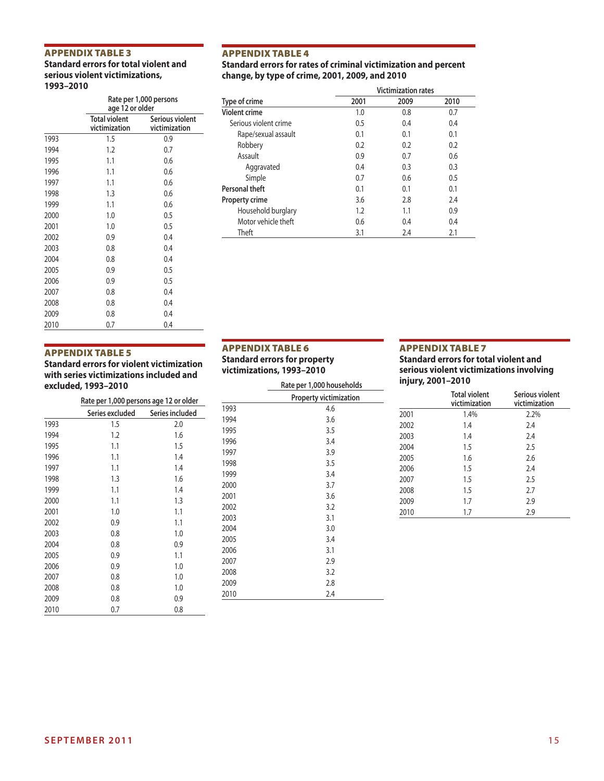# Appendix Table 3

**Standard errors for total violent and serious violent victimizations, 1993–2010**

|      |                                       | Rate per 1,000 persons<br>age 12 or older |  |  |  |  |
|------|---------------------------------------|-------------------------------------------|--|--|--|--|
|      | <b>Total violent</b><br>victimization | Serious violent<br>victimization          |  |  |  |  |
| 1993 | 1.5                                   | 0.9                                       |  |  |  |  |
| 1994 | 1.2                                   | 0.7                                       |  |  |  |  |
| 1995 | 1.1                                   | 0.6                                       |  |  |  |  |
| 1996 | 1.1                                   | 0.6                                       |  |  |  |  |
| 1997 | 1.1                                   | 0.6                                       |  |  |  |  |
| 1998 | 1.3                                   | 0.6                                       |  |  |  |  |
| 1999 | 1.1                                   | 0.6                                       |  |  |  |  |
| 2000 | 1.0                                   | 0.5                                       |  |  |  |  |
| 2001 | 1.0                                   | 0.5                                       |  |  |  |  |
| 2002 | 0.9                                   | 0.4                                       |  |  |  |  |
| 2003 | 0.8                                   | 0.4                                       |  |  |  |  |
| 2004 | 0.8                                   | 0.4                                       |  |  |  |  |
| 2005 | 0.9                                   | 0.5                                       |  |  |  |  |
| 2006 | 0.9                                   | 0.5                                       |  |  |  |  |
| 2007 | 0.8                                   | 0.4                                       |  |  |  |  |
| 2008 | 0.8                                   | 0.4                                       |  |  |  |  |
| 2009 | 0.8                                   | 0.4                                       |  |  |  |  |
| 2010 | 0.7                                   | 0.4                                       |  |  |  |  |

#### Appendix Table 4

# **Standard errors for rates of criminal victimization and percent change, by type of crime, 2001, 2009, and 2010**

|                       | <b>Victimization rates</b> |      |      |  |
|-----------------------|----------------------------|------|------|--|
| Type of crime         | 2001                       | 2009 | 2010 |  |
| <b>Violent crime</b>  | 1.0                        | 0.8  | 0.7  |  |
| Serious violent crime | 0.5                        | 0.4  | 0.4  |  |
| Rape/sexual assault   | 0.1                        | 0.1  | 0.1  |  |
| Robbery               | 0.2                        | 0.2  | 0.2  |  |
| Assault               | 0.9                        | 0.7  | 0.6  |  |
| Aggravated            | 0.4                        | 0.3  | 0.3  |  |
| Simple                | 0.7                        | 0.6  | 0.5  |  |
| Personal theft        | 0.1                        | 0.1  | 0.1  |  |
| Property crime        | 3.6                        | 2.8  | 2.4  |  |
| Household burglary    | 1.2                        | 1.1  | 0.9  |  |
| Motor vehicle theft   | 0.6                        | 0.4  | 0.4  |  |
| Theft                 | 3.1                        | 2.4  | 2.1  |  |

# Appendix Table 5

**Standard errors for violent victimization with series victimizations included and excluded, 1993–2010**

|      | Rate per 1,000 persons age 12 or older |                 |  |  |  |
|------|----------------------------------------|-----------------|--|--|--|
|      | Series excluded                        | Series included |  |  |  |
| 1993 | 1.5                                    | 2.0             |  |  |  |
| 1994 | 1.2                                    | 1.6             |  |  |  |
| 1995 | 1.1                                    | 1.5             |  |  |  |
| 1996 | 1.1                                    | 1.4             |  |  |  |
| 1997 | 1.1                                    | 1.4             |  |  |  |
| 1998 | 1.3                                    | 1.6             |  |  |  |
| 1999 | 1.1                                    | 1.4             |  |  |  |
| 2000 | 1.1                                    | 1.3             |  |  |  |
| 2001 | 1.0                                    | 1.1             |  |  |  |
| 2002 | 0.9                                    | 1.1             |  |  |  |
| 2003 | 0.8                                    | 1.0             |  |  |  |
| 2004 | 0.8                                    | 0.9             |  |  |  |
| 2005 | 0.9                                    | 1.1             |  |  |  |
| 2006 | 0.9                                    | 1.0             |  |  |  |
| 2007 | 0.8                                    | 1.0             |  |  |  |
| 2008 | 0.8                                    | 1.0             |  |  |  |
| 2009 | 0.8                                    | 0.9             |  |  |  |
| 2010 | 0.7                                    | 0.8             |  |  |  |

#### Appendix Table 6 **Standard errors for property**

**victimizations, 1993–2010**

|      | Rate per 1,000 households     |  |  |  |  |
|------|-------------------------------|--|--|--|--|
|      | <b>Property victimization</b> |  |  |  |  |
| 1993 | 4.6                           |  |  |  |  |
| 1994 | 3.6                           |  |  |  |  |
| 1995 | 3.5                           |  |  |  |  |
| 1996 | 3.4                           |  |  |  |  |
| 1997 | 3.9                           |  |  |  |  |
| 1998 | 3.5                           |  |  |  |  |
| 1999 | 3.4                           |  |  |  |  |
| 2000 | 3.7                           |  |  |  |  |
| 2001 | 3.6                           |  |  |  |  |
| 2002 | 3.2                           |  |  |  |  |
| 2003 | 3.1                           |  |  |  |  |
| 2004 | 3.0                           |  |  |  |  |
| 2005 | 3.4                           |  |  |  |  |
| 2006 | 3.1                           |  |  |  |  |
| 2007 | 2.9                           |  |  |  |  |
| 2008 | 3.2                           |  |  |  |  |
| 2009 | 2.8                           |  |  |  |  |
| 2010 | 2.4                           |  |  |  |  |

# Appendix Table 7

#### **Standard errors for total violent and serious violent victimizations involving injury, 2001–2010**

|      | <b>Total violent</b><br>victimization | Serious violent<br>victimization |
|------|---------------------------------------|----------------------------------|
| 2001 | 1.4%                                  | 2.2%                             |
| 2002 | 1.4                                   | 2.4                              |
| 2003 | 1.4                                   | 2.4                              |
| 2004 | 1.5                                   | 2.5                              |
| 2005 | 1.6                                   | 2.6                              |
| 2006 | 1.5                                   | 7.4                              |
| 2007 | 1.5                                   | 2.5                              |
| 2008 | 1.5                                   | 2.7                              |
| 2009 | 1.7                                   | 2.9                              |
| 2010 | 1.7                                   | 2.9                              |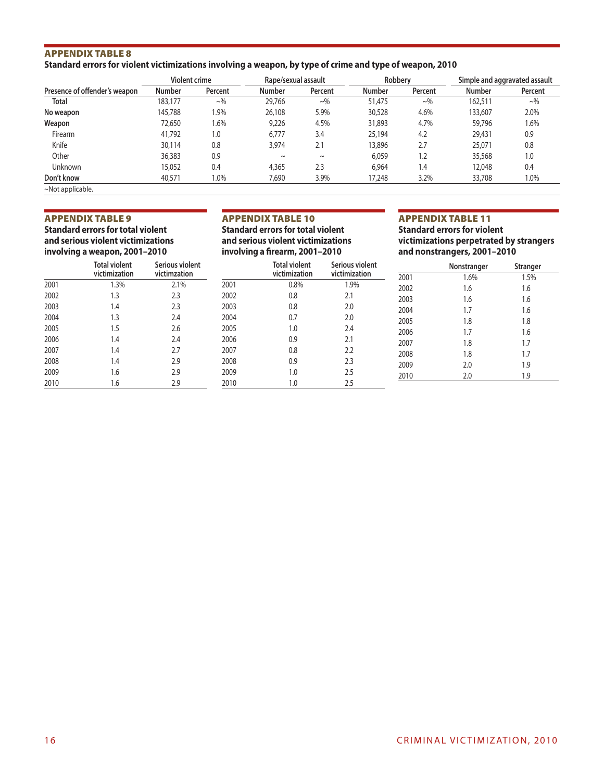# Appendix Table 8 **Standard errors for violent victimizations involving a weapon, by type of crime and type of weapon, 2010**

|                               | Violent crime |            | Rape/sexual assault |            | Robbery       |            |               | Simple and aggravated assault |
|-------------------------------|---------------|------------|---------------------|------------|---------------|------------|---------------|-------------------------------|
| Presence of offender's weapon | <b>Number</b> | Percent    | <b>Number</b>       | Percent    | <b>Number</b> | Percent    | <b>Number</b> | Percent                       |
| Total                         | 183,177       | $\sim\!\%$ | 29,766              | $\sim\!\%$ | 51,475        | $\sim\!\%$ | 162,511       | $\sim\!\%$                    |
| No weapon                     | 145,788       | 1.9%       | 26,108              | 5.9%       | 30,528        | 4.6%       | 133,607       | 2.0%                          |
| Weapon                        | 72,650        | 1.6%       | 9,226               | 4.5%       | 31,893        | 4.7%       | 59,796        | 1.6%                          |
| Firearm                       | 41.792        | 1.0        | 6.777               | 3.4        | 25,194        | 4.2        | 29,431        | 0.9                           |
| Knife                         | 30,114        | 0.8        | 3,974               | 2.1        | 13,896        | 2.7        | 25,071        | 0.8                           |
| Other                         | 36,383        | 0.9        | $\tilde{}$          | $\sim$     | 6.059         | 1.2        | 35,568        | 1.0                           |
| Unknown                       | 15,052        | 0.4        | 4,365               | 2.3        | 6.964         | 1.4        | 12,048        | 0.4                           |
| Don't know                    | 40,571        | 1.0%       | 7,690               | 3.9%       | 17,248        | 3.2%       | 33,708        | 1.0%                          |
| $~\sim$ Not applicable.       |               |            |                     |            |               |            |               |                               |

#### Appendix Table 9

**Standard errors for total violent and serious violent victimizations involving a weapon, 2001–2010**

#### Appendix Table 10

**Standard errors for total violent and serious violent victimizations involving a firearm, 2001–2010**

|      |                                       |                                 |      | -                                     |                                  |
|------|---------------------------------------|---------------------------------|------|---------------------------------------|----------------------------------|
|      | <b>Total violent</b><br>victimization | Serious violent<br>victimzation |      | <b>Total violent</b><br>victimization | Serious violent<br>victimization |
| 2001 | 1.3%                                  | 2.1%                            | 2001 | 0.8%                                  | 1.9%                             |
| 2002 | 1.3                                   | 2.3                             | 2002 | 0.8                                   | 2.1                              |
| 2003 | 1.4                                   | 2.3                             | 2003 | 0.8                                   | 2.0                              |
| 2004 | 1.3                                   | 2.4                             | 2004 | 0.7                                   | 2.0                              |
| 2005 | 1.5                                   | 2.6                             | 2005 | 1.0                                   | 2.4                              |
| 2006 | 1.4                                   | 2.4                             | 2006 | 0.9                                   | 2.1                              |
| 2007 | 1.4                                   | 2.7                             | 2007 | 0.8                                   | 2.2                              |
| 2008 | 1.4                                   | 2.9                             | 2008 | 0.9                                   | 2.3                              |
| 2009 | 1.6                                   | 2.9                             | 2009 | 1.0                                   | 2.5                              |
| 2010 | 1.6                                   | 2.9                             | 2010 | 1.0                                   | 2.5                              |

# Appendix Table 11

**Standard errors for violent victimizations perpetrated by strangers and nonstrangers, 2001–2010**

|      | Nonstranger | <b>Stranger</b> |
|------|-------------|-----------------|
| 2001 | 1.6%        | 1.5%            |
| 2002 | 1.6         | 1.6             |
| 2003 | 1.6         | 1.6             |
| 2004 | 1.7         | 1.6             |
| 2005 | 1.8         | 1.8             |
| 2006 | 1.7         | 1.6             |
| 2007 | 1.8         | 1.7             |
| 2008 | 1.8         | 1.7             |
| 2009 | 2.0         | 1.9             |
| 2010 | 2.0         | 1.9             |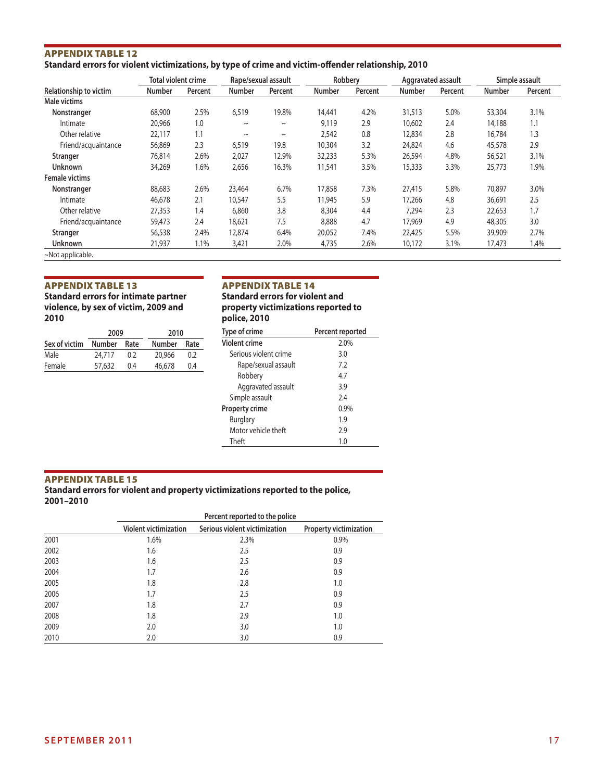# Appendix Table 12 **Standard errors for violent victimizations, by type of crime and victim-offender relationship, 2010**

|                        | <b>Total violent crime</b> |         |               | Rape/sexual assault | Robbery       |         |               | Aggravated assault |               | Simple assault |
|------------------------|----------------------------|---------|---------------|---------------------|---------------|---------|---------------|--------------------|---------------|----------------|
| Relationship to victim | Number                     | Percent | <b>Number</b> | Percent             | <b>Number</b> | Percent | <b>Number</b> | Percent            | <b>Number</b> | Percent        |
| Male victims           |                            |         |               |                     |               |         |               |                    |               |                |
| Nonstranger            | 68,900                     | 2.5%    | 6,519         | 19.8%               | 14,441        | 4.2%    | 31,513        | 5.0%               | 53,304        | 3.1%           |
| Intimate               | 20,966                     | 1.0     | $\sim$        | $\sim$              | 9,119         | 2.9     | 10,602        | 2.4                | 14,188        | 1.1            |
| Other relative         | 22,117                     | 1.1     | $\sim$        | $\sim$              | 2,542         | 0.8     | 12,834        | 2.8                | 16,784        | 1.3            |
| Friend/acquaintance    | 56,869                     | 2.3     | 6,519         | 19.8                | 10,304        | 3.2     | 24,824        | 4.6                | 45,578        | 2.9            |
| Stranger               | 76,814                     | 2.6%    | 2,027         | 12.9%               | 32,233        | 5.3%    | 26,594        | 4.8%               | 56,521        | 3.1%           |
| <b>Unknown</b>         | 34,269                     | 1.6%    | 2,656         | 16.3%               | 11,541        | 3.5%    | 15,333        | 3.3%               | 25,773        | 1.9%           |
| <b>Female victims</b>  |                            |         |               |                     |               |         |               |                    |               |                |
| Nonstranger            | 88,683                     | 2.6%    | 23,464        | 6.7%                | 17,858        | 7.3%    | 27,415        | 5.8%               | 70,897        | 3.0%           |
| Intimate               | 46,678                     | 2.1     | 10,547        | 5.5                 | 11,945        | 5.9     | 17,266        | 4.8                | 36,691        | 2.5            |
| Other relative         | 27,353                     | 1.4     | 6,860         | 3.8                 | 8,304         | 4.4     | 7.294         | 2.3                | 22,653        | 1.7            |
| Friend/acquaintance    | 59,473                     | 2.4     | 18,621        | 7.5                 | 8,888         | 4.7     | 17,969        | 4.9                | 48,305        | 3.0            |
| Stranger               | 56,538                     | 2.4%    | 12,874        | 6.4%                | 20,052        | 7.4%    | 22,425        | 5.5%               | 39,909        | 2.7%           |
| <b>Unknown</b>         | 21,937                     | 1.1%    | 3,421         | 2.0%                | 4,735         | 2.6%    | 10,172        | 3.1%               | 17,473        | 1.4%           |
| ~Not applicable.       |                            |         |               |                     |               |         |               |                    |               |                |

# Appendix Table 13

**Standard errors for intimate partner violence, by sex of victim, 2009 and 2010**

|               | 2009          |      | 2010          |      |  |
|---------------|---------------|------|---------------|------|--|
| Sex of victim | <b>Number</b> | Rate | <b>Number</b> | Rate |  |
| Male          | 24,717        | 0.2  | 20,966        | 0.2  |  |
| Female        | 57,632        | 0.4  | 46,678        | 0.4  |  |

# Appendix Table 14

**Standard errors for violent and property victimizations reported to police, 2010**

| Type of crime         | Percent reported |
|-----------------------|------------------|
| <b>Violent crime</b>  | 2.0%             |
| Serious violent crime | 3.0              |
| Rape/sexual assault   | 7.2              |
| Robbery               | 4.7              |
| Aggravated assault    | 3.9              |
| Simple assault        | 7.4              |
| <b>Property crime</b> | 0.9%             |
| <b>Burglary</b>       | 1.9              |
| Motor vehicle theft   | 2.9              |
| Theft                 | 1.0              |

# Appendix Table 15

**Standard errors for violent and property victimizations reported to the police, 2001–2010**

|      |                              | Percent reported to the police |                        |  |  |  |  |
|------|------------------------------|--------------------------------|------------------------|--|--|--|--|
|      | <b>Violent victimization</b> | Serious violent victimization  | Property victimization |  |  |  |  |
| 2001 | 1.6%                         | 2.3%                           | 0.9%                   |  |  |  |  |
| 2002 | 1.6                          | 2.5                            | 0.9                    |  |  |  |  |
| 2003 | 1.6                          | 2.5                            | 0.9                    |  |  |  |  |
| 2004 | 1.7                          | 2.6                            | 0.9                    |  |  |  |  |
| 2005 | 1.8                          | 2.8                            | 1.0                    |  |  |  |  |
| 2006 | 1.7                          | 2.5                            | 0.9                    |  |  |  |  |
| 2007 | 1.8                          | 2.7                            | 0.9                    |  |  |  |  |
| 2008 | 1.8                          | 2.9                            | 1.0                    |  |  |  |  |
| 2009 | 2.0                          | 3.0                            | 1.0                    |  |  |  |  |
| 2010 | 2.0                          | 3.0                            | 0.9                    |  |  |  |  |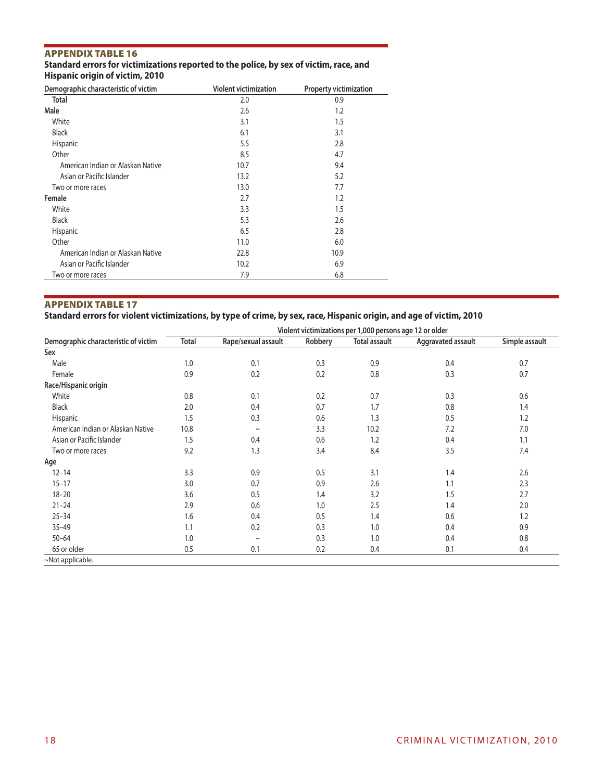# Appendix Table 16

#### **Standard errors for victimizations reported to the police, by sex of victim, race, and Hispanic origin of victim, 2010**

| Demographic characteristic of victim | <b>Violent victimization</b> | <b>Property victimization</b> |
|--------------------------------------|------------------------------|-------------------------------|
| <b>Total</b>                         | 2.0                          | 0.9                           |
| Male                                 | 2.6                          | 1.2                           |
| White                                | 3.1                          | 1.5                           |
| <b>Black</b>                         | 6.1                          | 3.1                           |
| Hispanic                             | 5.5                          | 2.8                           |
| Other                                | 8.5                          | 4.7                           |
| American Indian or Alaskan Native    | 10.7                         | 9.4                           |
| Asian or Pacific Islander            | 13.2                         | 5.2                           |
| Two or more races                    | 13.0                         | 7.7                           |
| Female                               | 2.7                          | 1.2                           |
| White                                | 3.3                          | 1.5                           |
| <b>Black</b>                         | 5.3                          | 2.6                           |
| Hispanic                             | 6.5                          | 2.8                           |
| Other                                | 11.0                         | 6.0                           |
| American Indian or Alaskan Native    | 22.8                         | 10.9                          |
| Asian or Pacific Islander            | 10.2                         | 6.9                           |
| Two or more races                    | 7.9                          | 6.8                           |

# Appendix Table 17

**Standard errors for violent victimizations, by type of crime, by sex, race, Hispanic origin, and age of victim, 2010**

| Demographic characteristic of victim | Violent victimizations per 1,000 persons age 12 or older |                     |         |                      |                    |                |
|--------------------------------------|----------------------------------------------------------|---------------------|---------|----------------------|--------------------|----------------|
|                                      | <b>Total</b>                                             | Rape/sexual assault | Robbery | <b>Total assault</b> | Aggravated assault | Simple assault |
| Sex                                  |                                                          |                     |         |                      |                    |                |
| Male                                 | 1.0                                                      | 0.1                 | 0.3     | 0.9                  | 0.4                | 0.7            |
| Female                               | 0.9                                                      | 0.2                 | 0.2     | 0.8                  | 0.3                | 0.7            |
| Race/Hispanic origin                 |                                                          |                     |         |                      |                    |                |
| White                                | 0.8                                                      | 0.1                 | 0.2     | 0.7                  | 0.3                | 0.6            |
| <b>Black</b>                         | 2.0                                                      | 0.4                 | 0.7     | 1.7                  | 0.8                | 1.4            |
| Hispanic                             | 1.5                                                      | 0.3                 | 0.6     | 1.3                  | 0.5                | 1.2            |
| American Indian or Alaskan Native    | 10.8                                                     | $\sim$              | 3.3     | 10.2                 | 7.2                | 7.0            |
| Asian or Pacific Islander            | 1.5                                                      | 0.4                 | 0.6     | 1.2                  | 0.4                | 1.1            |
| Two or more races                    | 9.2                                                      | 1.3                 | 3.4     | 8.4                  | 3.5                | 7.4            |
| Age                                  |                                                          |                     |         |                      |                    |                |
| $12 - 14$                            | 3.3                                                      | 0.9                 | 0.5     | 3.1                  | 1.4                | 2.6            |
| $15 - 17$                            | 3.0                                                      | 0.7                 | 0.9     | 2.6                  | 1.1                | 2.3            |
| $18 - 20$                            | 3.6                                                      | 0.5                 | 1.4     | 3.2                  | 1.5                | 2.7            |
| $21 - 24$                            | 2.9                                                      | 0.6                 | 1.0     | 2.5                  | 1.4                | 2.0            |
| $25 - 34$                            | 1.6                                                      | 0.4                 | 0.5     | 1.4                  | 0.6                | 1.2            |
| $35 - 49$                            | 1.1                                                      | 0.2                 | 0.3     | 1.0                  | 0.4                | 0.9            |
| $50 - 64$                            | 1.0                                                      | $\sim$              | 0.3     | 1.0                  | 0.4                | 0.8            |
| 65 or older                          | 0.5                                                      | 0.1                 | 0.2     | 0.4                  | 0.1                | 0.4            |
| ~Not applicable.                     |                                                          |                     |         |                      |                    |                |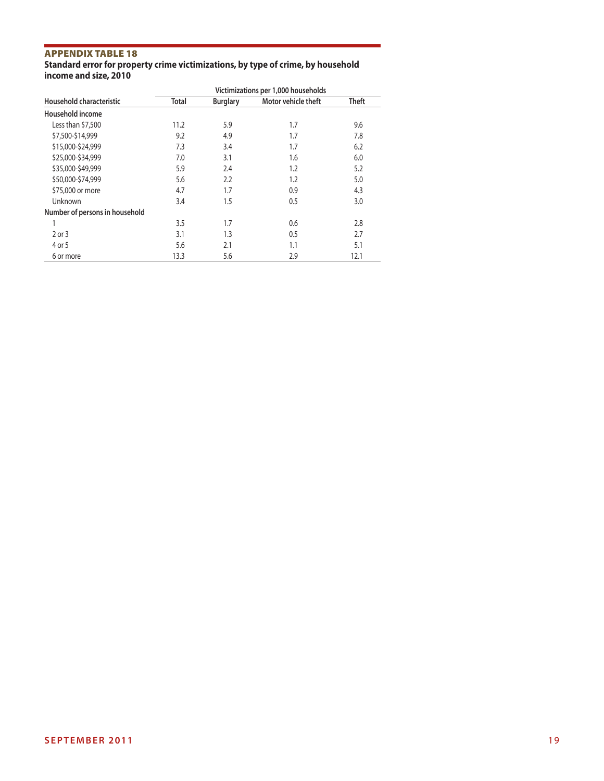# Appendix Table 18

#### **Standard error for property crime victimizations, by type of crime, by household income and size, 2010**

| Household characteristic       | Victimizations per 1,000 households |                 |                     |       |  |  |
|--------------------------------|-------------------------------------|-----------------|---------------------|-------|--|--|
|                                | <b>Total</b>                        | <b>Burglary</b> | Motor vehicle theft | Theft |  |  |
| Household income               |                                     |                 |                     |       |  |  |
| Less than \$7,500              | 11.2                                | 5.9             | 1.7                 | 9.6   |  |  |
| \$7,500-\$14,999               | 9.2                                 | 4.9             | 1.7                 | 7.8   |  |  |
| \$15,000-\$24,999              | 7.3                                 | 3.4             | 1.7                 | 6.2   |  |  |
| \$25,000-\$34,999              | 7.0                                 | 3.1             | 1.6                 | 6.0   |  |  |
| \$35,000-\$49,999              | 5.9                                 | 2.4             | 1.2                 | 5.2   |  |  |
| \$50,000-\$74,999              | 5.6                                 | 2.2             | 1.2                 | 5.0   |  |  |
| \$75,000 or more               | 4.7                                 | 1.7             | 0.9                 | 4.3   |  |  |
| Unknown                        | 3.4                                 | 1.5             | 0.5                 | 3.0   |  |  |
| Number of persons in household |                                     |                 |                     |       |  |  |
|                                | 3.5                                 | 1.7             | 0.6                 | 2.8   |  |  |
| 2 or 3                         | 3.1                                 | 1.3             | 0.5                 | 2.7   |  |  |
| 4 or 5                         | 5.6                                 | 2.1             | 1.1                 | 5.1   |  |  |
| 6 or more                      | 13.3                                | 5.6             | 2.9                 | 12.1  |  |  |